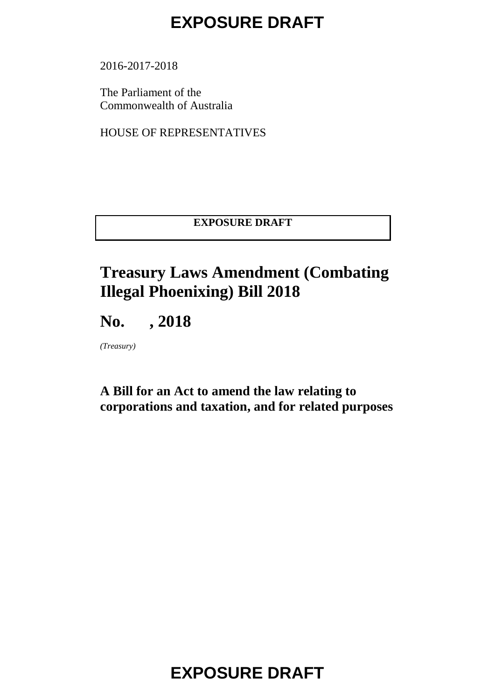2016-2017-2018

The Parliament of the Commonwealth of Australia

HOUSE OF REPRESENTATIVES

#### **EXPOSURE DRAFT**

#### **Treasury Laws Amendment (Combating Illegal Phoenixing) Bill 2018**

#### **No. , 2018**

*(Treasury)*

#### **A Bill for an Act to amend the law relating to corporations and taxation, and for related purposes**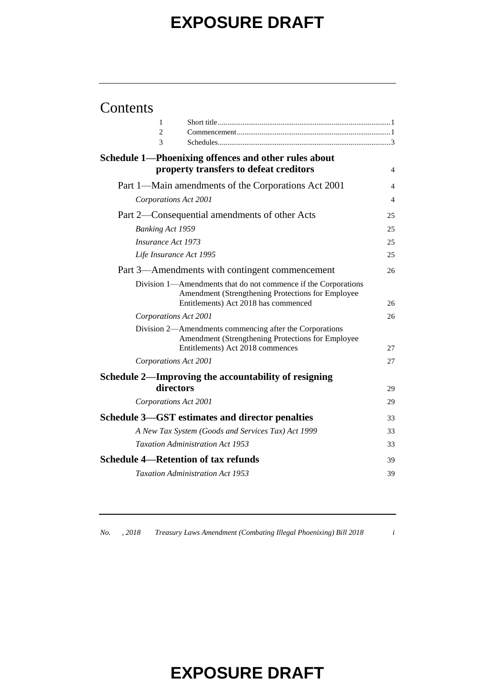| Contents |
|----------|
|----------|

| 1                                                                                                                                                           |                |
|-------------------------------------------------------------------------------------------------------------------------------------------------------------|----------------|
| $\overline{2}$                                                                                                                                              |                |
| 3                                                                                                                                                           |                |
| Schedule 1—Phoenixing offences and other rules about                                                                                                        |                |
| property transfers to defeat creditors                                                                                                                      | 4              |
| Part 1—Main amendments of the Corporations Act 2001                                                                                                         | $\overline{4}$ |
| Corporations Act 2001                                                                                                                                       | 4              |
| Part 2—Consequential amendments of other Acts                                                                                                               | 25             |
| <b>Banking Act 1959</b>                                                                                                                                     | 25             |
| Insurance Act 1973                                                                                                                                          | 25             |
| Life Insurance Act 1995                                                                                                                                     | 25             |
| Part 3—Amendments with contingent commencement                                                                                                              | 26             |
| Division 1—Amendments that do not commence if the Corporations<br>Amendment (Strengthening Protections for Employee<br>Entitlements) Act 2018 has commenced | 26             |
| Corporations Act 2001                                                                                                                                       | 26             |
| Division 2—Amendments commencing after the Corporations<br>Amendment (Strengthening Protections for Employee<br>Entitlements) Act 2018 commences            | 27             |
| Corporations Act 2001                                                                                                                                       | 27             |
| Schedule 2—Improving the accountability of resigning                                                                                                        |                |
| directors                                                                                                                                                   | 29             |
| Corporations Act 2001                                                                                                                                       | 29             |
| Schedule 3—GST estimates and director penalties                                                                                                             | 33             |
| A New Tax System (Goods and Services Tax) Act 1999                                                                                                          | 33             |
| <b>Taxation Administration Act 1953</b>                                                                                                                     | 33             |
| <b>Schedule 4—Retention of tax refunds</b>                                                                                                                  | 39             |
| <b>Taxation Administration Act 1953</b>                                                                                                                     | 39             |
|                                                                                                                                                             |                |

*No. , 2018 Treasury Laws Amendment (Combating Illegal Phoenixing) Bill 2018 i*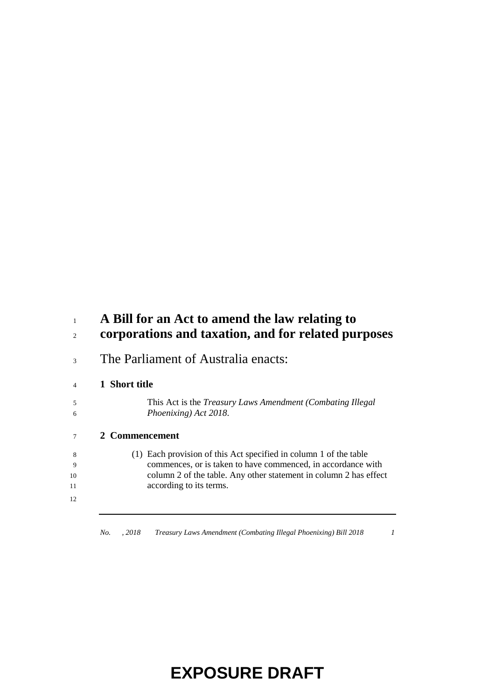#### **A Bill for an Act to amend the law relating to corporations and taxation, and for related purposes**

The Parliament of Australia enacts:

#### **1 Short title**

| This Act is the <i>Treasury Laws Amendment (Combating Illegal</i> ) |
|---------------------------------------------------------------------|
| Phoenixing) Act 2018.                                               |

#### **2 Commencement**

| - 8 | (1) Each provision of this Act specified in column 1 of the table |
|-----|-------------------------------------------------------------------|
| - 9 | commences, or is taken to have commenced, in accordance with      |
| 10  | column 2 of the table. Any other statement in column 2 has effect |
| 11  | according to its terms.                                           |
|     |                                                                   |

*No. , 2018 Treasury Laws Amendment (Combating Illegal Phoenixing) Bill 2018 1*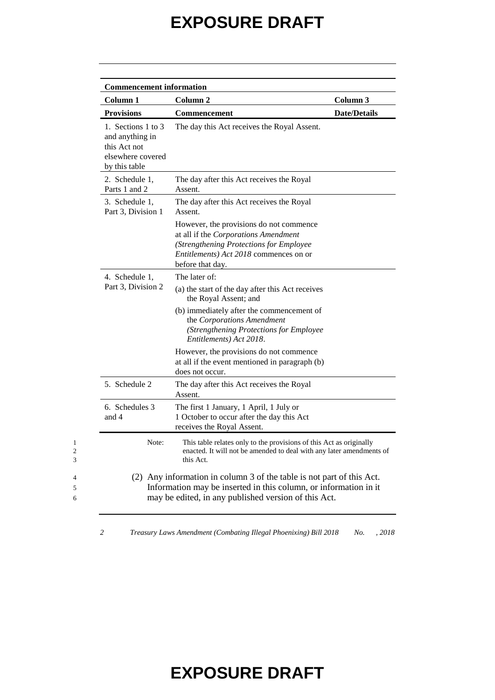| Column <sub>1</sub>                                                                         | Column <sub>2</sub>                                                                                                                                                                               | Column 3            |
|---------------------------------------------------------------------------------------------|---------------------------------------------------------------------------------------------------------------------------------------------------------------------------------------------------|---------------------|
| <b>Provisions</b>                                                                           | <b>Commencement</b>                                                                                                                                                                               | <b>Date/Details</b> |
| 1. Sections 1 to 3<br>and anything in<br>this Act not<br>elsewhere covered<br>by this table | The day this Act receives the Royal Assent.                                                                                                                                                       |                     |
| 2. Schedule 1,<br>Parts 1 and 2                                                             | The day after this Act receives the Royal<br>Assent.                                                                                                                                              |                     |
| 3. Schedule 1,<br>Part 3, Division 1                                                        | The day after this Act receives the Royal<br>Assent.                                                                                                                                              |                     |
|                                                                                             | However, the provisions do not commence<br>at all if the Corporations Amendment<br>(Strengthening Protections for Employee<br>Entitlements) Act 2018 commences on or<br>before that day.          |                     |
| 4. Schedule 1,                                                                              | The later of:                                                                                                                                                                                     |                     |
| Part 3, Division 2                                                                          | (a) the start of the day after this Act receives<br>the Royal Assent; and                                                                                                                         |                     |
|                                                                                             | (b) immediately after the commencement of<br>the Corporations Amendment<br>(Strengthening Protections for Employee<br>Entitlements) Act 2018.                                                     |                     |
|                                                                                             | However, the provisions do not commence<br>at all if the event mentioned in paragraph (b)<br>does not occur.                                                                                      |                     |
| 5. Schedule 2                                                                               | The day after this Act receives the Royal<br>Assent.                                                                                                                                              |                     |
| 6. Schedules 3<br>and 4                                                                     | The first 1 January, 1 April, 1 July or<br>1 October to occur after the day this Act<br>receives the Royal Assent.                                                                                |                     |
| Note:                                                                                       | This table relates only to the provisions of this Act as originally<br>enacted. It will not be amended to deal with any later amendments of<br>this Act.                                          |                     |
|                                                                                             | (2) Any information in column 3 of the table is not part of this Act.<br>Information may be inserted in this column, or information in it<br>may be edited, in any published version of this Act. |                     |

*2 Treasury Laws Amendment (Combating Illegal Phoenixing) Bill 2018 No. , 2018*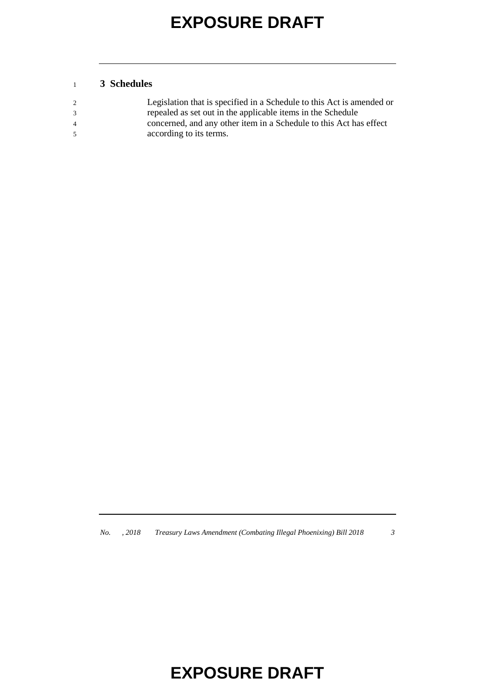#### **3 Schedules**

|                | Legislation that is specified in a Schedule to this Act is amended or |
|----------------|-----------------------------------------------------------------------|
| 3              | repealed as set out in the applicable items in the Schedule           |
| $\overline{4}$ | concerned, and any other item in a Schedule to this Act has effect    |
| .5             | according to its terms.                                               |

*No. , 2018 Treasury Laws Amendment (Combating Illegal Phoenixing) Bill 2018 3*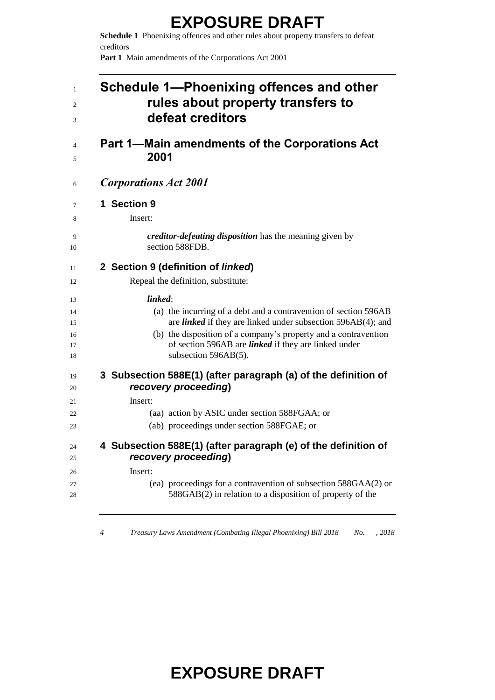**Schedule 1** Phoenixing offences and other rules about property transfers to defeat creditors

**Part 1** Main amendments of the Corporations Act 2001

| 1<br>$\overline{c}$<br>3 | Schedule 1-Phoenixing offences and other<br>rules about property transfers to<br>defeat creditors                                                                                                                             |
|--------------------------|-------------------------------------------------------------------------------------------------------------------------------------------------------------------------------------------------------------------------------|
| $\overline{4}$<br>5      | Part 1—Main amendments of the Corporations Act<br>2001                                                                                                                                                                        |
| 6                        | <b>Corporations Act 2001</b>                                                                                                                                                                                                  |
| 7                        | 1 Section 9                                                                                                                                                                                                                   |
| 8                        | Insert:                                                                                                                                                                                                                       |
| 9<br>10                  | creditor-defeating disposition has the meaning given by<br>section 588FDB.                                                                                                                                                    |
| 11                       | 2 Section 9 (definition of linked)                                                                                                                                                                                            |
| 12                       | Repeal the definition, substitute:                                                                                                                                                                                            |
| 13                       | linked:                                                                                                                                                                                                                       |
| 14                       | (a) the incurring of a debt and a contravention of section 596AB                                                                                                                                                              |
| 15<br>16<br>17<br>18     | are <i>linked</i> if they are linked under subsection 596AB(4); and<br>(b) the disposition of a company's property and a contravention<br>of section 596AB are <i>linked</i> if they are linked under<br>subsection 596AB(5). |
| 19<br>20                 | 3 Subsection 588E(1) (after paragraph (a) of the definition of<br>recovery proceeding)                                                                                                                                        |
| 21                       | Insert:                                                                                                                                                                                                                       |
| 22                       | (aa) action by ASIC under section 588FGAA; or                                                                                                                                                                                 |
| 23                       | (ab) proceedings under section 588FGAE; or                                                                                                                                                                                    |
| 24<br>25                 | 4 Subsection 588E(1) (after paragraph (e) of the definition of<br>recovery proceeding)                                                                                                                                        |
| 26                       | Insert:                                                                                                                                                                                                                       |
| 27<br>28                 | (ea) proceedings for a contravention of subsection 588GAA(2) or<br>$588GAB(2)$ in relation to a disposition of property of the                                                                                                |

*Treasury Laws Amendment (Combating Illegal Phoenixing) Bill 2018 No. , 2018*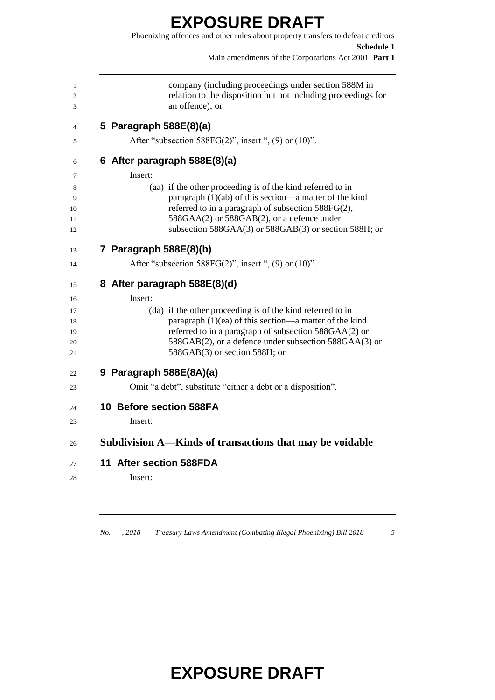#### **EXPOSURE DRAFT** Phoenixing offences and other rules about property transfers to defeat creditors **Schedule 1** Main amendments of the Corporations Act 2001 **Part 1** company (including proceedings under section 588M in relation to the disposition but not including proceedings for an offence); or **5 Paragraph 588E(8)(a)** After "subsection 588FG(2)", insert ", (9) or (10)". **6 After paragraph 588E(8)(a)** Insert: (aa) if the other proceeding is of the kind referred to in paragraph (1)(ab) of this section—a matter of the kind 10 referred to in a paragraph of subsection 588FG(2), 11 588GAA(2) or 588GAB(2), or a defence under subsection 588GAA(3) or 588GAB(3) or section 588H; or **7 Paragraph 588E(8)(b)** 14 After "subsection 588FG(2)", insert ", (9) or (10)". **8 After paragraph 588E(8)(d)** Insert: (da) if the other proceeding is of the kind referred to in paragraph (1)(ea) of this section—a matter of the kind referred to in a paragraph of subsection 588GAA(2) or 588GAB(2), or a defence under subsection 588GAA(3) or 588GAB(3) or section 588H; or

**9 Paragraph 588E(8A)(a)**

Omit "a debt", substitute "either a debt or a disposition".

#### **10 Before section 588FA**

- Insert:
- **Subdivision A—Kinds of transactions that may be voidable**
- **11 After section 588FDA**
- Insert:

*No. , 2018 Treasury Laws Amendment (Combating Illegal Phoenixing) Bill 2018 5*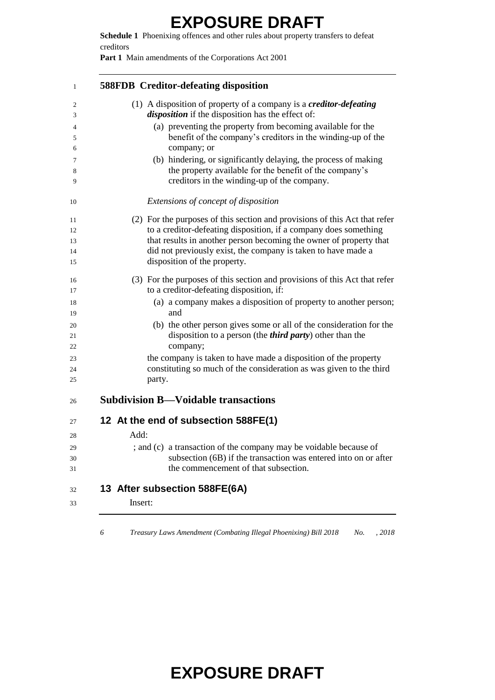**Schedule 1** Phoenixing offences and other rules about property transfers to defeat creditors

**Part 1** Main amendments of the Corporations Act 2001

| <b>588FDB</b> Creditor-defeating disposition                                                                                           |
|----------------------------------------------------------------------------------------------------------------------------------------|
| (1) A disposition of property of a company is a <i>creditor-defeating</i>                                                              |
| <i>disposition</i> if the disposition has the effect of:                                                                               |
| (a) preventing the property from becoming available for the                                                                            |
| benefit of the company's creditors in the winding-up of the<br>company; or                                                             |
| (b) hindering, or significantly delaying, the process of making                                                                        |
| the property available for the benefit of the company's                                                                                |
| creditors in the winding-up of the company.                                                                                            |
| Extensions of concept of disposition                                                                                                   |
| (2) For the purposes of this section and provisions of this Act that refer                                                             |
| to a creditor-defeating disposition, if a company does something                                                                       |
| that results in another person becoming the owner of property that                                                                     |
| did not previously exist, the company is taken to have made a                                                                          |
| disposition of the property.                                                                                                           |
| (3) For the purposes of this section and provisions of this Act that refer                                                             |
| to a creditor-defeating disposition, if:                                                                                               |
| (a) a company makes a disposition of property to another person;                                                                       |
| and                                                                                                                                    |
| (b) the other person gives some or all of the consideration for the                                                                    |
| disposition to a person (the <i>third party</i> ) other than the                                                                       |
| company;                                                                                                                               |
| the company is taken to have made a disposition of the property<br>constituting so much of the consideration as was given to the third |
| party.                                                                                                                                 |
| <b>Subdivision B—Voidable transactions</b>                                                                                             |
| 12 At the end of subsection 588FE(1)                                                                                                   |
| Add:                                                                                                                                   |
| ; and (c) a transaction of the company may be voidable because of                                                                      |
| subsection (6B) if the transaction was entered into on or after                                                                        |
| the commencement of that subsection.                                                                                                   |
| 13 After subsection 588FE(6A)                                                                                                          |
| Insert:                                                                                                                                |

*Treasury Laws Amendment (Combating Illegal Phoenixing) Bill 2018 No. , 2018*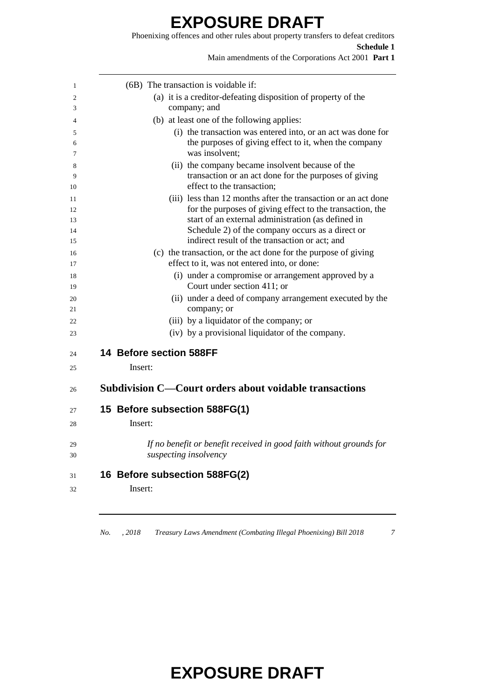Phoenixing offences and other rules about property transfers to defeat creditors **Schedule 1** Main amendments of the Corporations Act 2001 **Part 1**

| $(6B)$ The transaction is voidable if:                                                                                                  |
|-----------------------------------------------------------------------------------------------------------------------------------------|
| (a) it is a creditor-defeating disposition of property of the                                                                           |
| company; and                                                                                                                            |
| (b) at least one of the following applies:                                                                                              |
| (i) the transaction was entered into, or an act was done for<br>the purposes of giving effect to it, when the company<br>was insolvent; |
| (ii) the company became insolvent because of the                                                                                        |
| transaction or an act done for the purposes of giving<br>effect to the transaction;                                                     |
| (iii) less than 12 months after the transaction or an act done                                                                          |
| for the purposes of giving effect to the transaction, the                                                                               |
| start of an external administration (as defined in<br>Schedule 2) of the company occurs as a direct or                                  |
| indirect result of the transaction or act; and                                                                                          |
| (c) the transaction, or the act done for the purpose of giving                                                                          |
| effect to it, was not entered into, or done:                                                                                            |
| (i) under a compromise or arrangement approved by a<br>Court under section 411; or                                                      |
| (ii) under a deed of company arrangement executed by the<br>company; or                                                                 |
| (iii) by a liquidator of the company; or                                                                                                |
| (iv) by a provisional liquidator of the company.                                                                                        |
| 14 Before section 588FF                                                                                                                 |
| Insert:                                                                                                                                 |
|                                                                                                                                         |
| Subdivision C—Court orders about voidable transactions                                                                                  |
| 15 Before subsection 588FG(1)                                                                                                           |
| Insert:                                                                                                                                 |
| If no benefit or benefit received in good faith without grounds for<br>suspecting insolvency                                            |
|                                                                                                                                         |
| 16 Before subsection 588FG(2)                                                                                                           |
| Insert:                                                                                                                                 |

*No. , 2018 Treasury Laws Amendment (Combating Illegal Phoenixing) Bill 2018 7*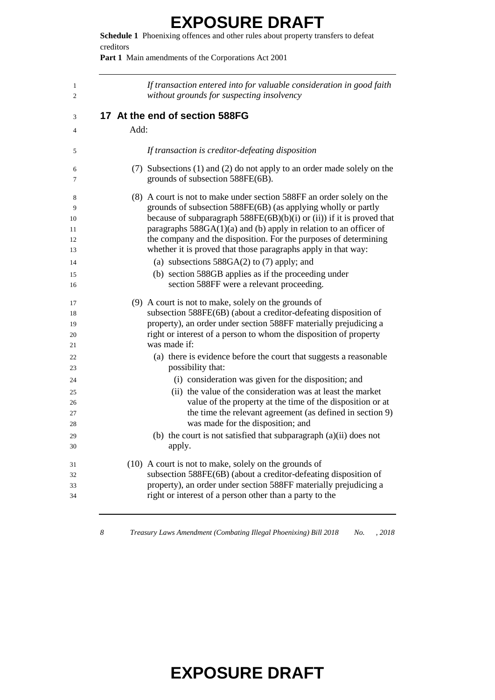**Schedule 1** Phoenixing offences and other rules about property transfers to defeat creditors

Part 1 Main amendments of the Corporations Act 2001

| If transaction entered into for valuable consideration in good faith<br>without grounds for suspecting insolvency                                                                                                                                                                                                                                                                                                             |
|-------------------------------------------------------------------------------------------------------------------------------------------------------------------------------------------------------------------------------------------------------------------------------------------------------------------------------------------------------------------------------------------------------------------------------|
| 17 At the end of section 588FG                                                                                                                                                                                                                                                                                                                                                                                                |
| Add:                                                                                                                                                                                                                                                                                                                                                                                                                          |
| If transaction is creditor-defeating disposition                                                                                                                                                                                                                                                                                                                                                                              |
| (7) Subsections (1) and (2) do not apply to an order made solely on the<br>grounds of subsection 588FE(6B).                                                                                                                                                                                                                                                                                                                   |
| (8) A court is not to make under section 588FF an order solely on the<br>grounds of subsection 588FE(6B) (as applying wholly or partly<br>because of subparagraph $588FE(6B)(b)(i)$ or (ii)) if it is proved that<br>paragraphs $588GA(1)(a)$ and (b) apply in relation to an officer of<br>the company and the disposition. For the purposes of determining<br>whether it is proved that those paragraphs apply in that way: |
| (a) subsections $588GA(2)$ to (7) apply; and<br>(b) section 588GB applies as if the proceeding under<br>section 588FF were a relevant proceeding.                                                                                                                                                                                                                                                                             |
| (9) A court is not to make, solely on the grounds of<br>subsection 588FE(6B) (about a creditor-defeating disposition of<br>property), an order under section 588FF materially prejudicing a<br>right or interest of a person to whom the disposition of property<br>was made if:                                                                                                                                              |
| (a) there is evidence before the court that suggests a reasonable<br>possibility that:                                                                                                                                                                                                                                                                                                                                        |
| (i) consideration was given for the disposition; and                                                                                                                                                                                                                                                                                                                                                                          |
| (ii) the value of the consideration was at least the market                                                                                                                                                                                                                                                                                                                                                                   |
| value of the property at the time of the disposition or at                                                                                                                                                                                                                                                                                                                                                                    |
| the time the relevant agreement (as defined in section 9)                                                                                                                                                                                                                                                                                                                                                                     |
| was made for the disposition; and                                                                                                                                                                                                                                                                                                                                                                                             |
| (b) the court is not satisfied that subparagraph (a)(ii) does not<br>apply.                                                                                                                                                                                                                                                                                                                                                   |
| (10) A court is not to make, solely on the grounds of                                                                                                                                                                                                                                                                                                                                                                         |
| subsection 588FE(6B) (about a creditor-defeating disposition of                                                                                                                                                                                                                                                                                                                                                               |
| property), an order under section 588FF materially prejudicing a                                                                                                                                                                                                                                                                                                                                                              |
| right or interest of a person other than a party to the                                                                                                                                                                                                                                                                                                                                                                       |

*Treasury Laws Amendment (Combating Illegal Phoenixing) Bill 2018 No. , 2018*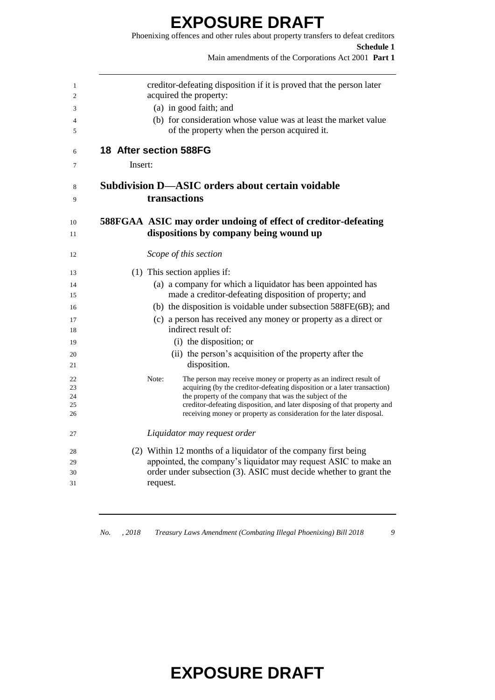Phoenixing offences and other rules about property transfers to defeat creditors **Schedule 1** Main amendments of the Corporations Act 2001 **Part 1**

|         | creditor-defeating disposition if it is proved that the person later                                                                             |
|---------|--------------------------------------------------------------------------------------------------------------------------------------------------|
|         | acquired the property:                                                                                                                           |
|         | (a) in good faith; and                                                                                                                           |
|         | (b) for consideration whose value was at least the market value                                                                                  |
|         | of the property when the person acquired it.                                                                                                     |
|         | 18 After section 588FG                                                                                                                           |
| Insert: |                                                                                                                                                  |
|         | <b>Subdivision D-ASIC orders about certain voidable</b>                                                                                          |
|         | transactions                                                                                                                                     |
|         | 588FGAA ASIC may order undoing of effect of creditor-defeating                                                                                   |
|         | dispositions by company being wound up                                                                                                           |
|         | Scope of this section                                                                                                                            |
|         | (1) This section applies if:                                                                                                                     |
|         | (a) a company for which a liquidator has been appointed has                                                                                      |
|         | made a creditor-defeating disposition of property; and                                                                                           |
|         | (b) the disposition is voidable under subsection 588FE(6B); and                                                                                  |
|         | (c) a person has received any money or property as a direct or<br>indirect result of:                                                            |
|         | (i) the disposition; or                                                                                                                          |
|         | (ii) the person's acquisition of the property after the                                                                                          |
|         | disposition.                                                                                                                                     |
|         | Note:<br>The person may receive money or property as an indirect result of                                                                       |
|         | acquiring (by the creditor-defeating disposition or a later transaction)                                                                         |
|         | the property of the company that was the subject of the                                                                                          |
|         | creditor-defeating disposition, and later disposing of that property and<br>receiving money or property as consideration for the later disposal. |
|         | Liquidator may request order                                                                                                                     |
|         |                                                                                                                                                  |
|         | (2) Within 12 months of a liquidator of the company first being                                                                                  |
|         |                                                                                                                                                  |
|         | appointed, the company's liquidator may request ASIC to make an<br>order under subsection (3). ASIC must decide whether to grant the             |

*No. , 2018 Treasury Laws Amendment (Combating Illegal Phoenixing) Bill 2018 9*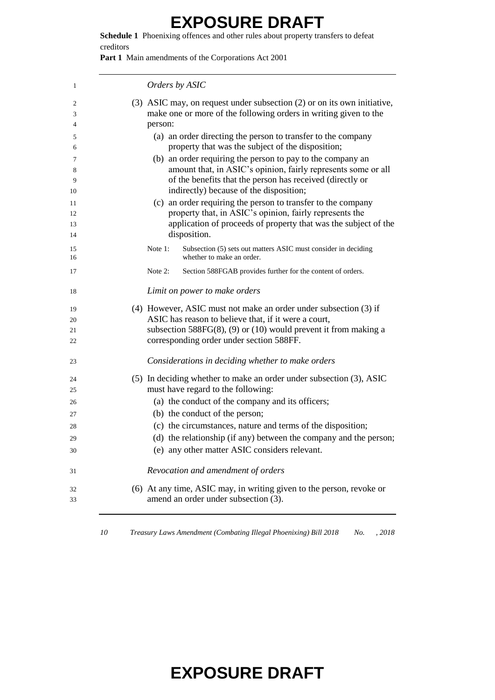**Schedule 1** Phoenixing offences and other rules about property transfers to defeat creditors

Part 1 Main amendments of the Corporations Act 2001

| 1        | Orders by ASIC                                                                                                             |
|----------|----------------------------------------------------------------------------------------------------------------------------|
| 2        | (3) ASIC may, on request under subsection (2) or on its own initiative,                                                    |
| 3<br>4   | make one or more of the following orders in writing given to the<br>person:                                                |
| 5        | (a) an order directing the person to transfer to the company                                                               |
| 6        | property that was the subject of the disposition;                                                                          |
| 7        | (b) an order requiring the person to pay to the company an                                                                 |
| 8        | amount that, in ASIC's opinion, fairly represents some or all                                                              |
| 9        | of the benefits that the person has received (directly or                                                                  |
| 10       | indirectly) because of the disposition;                                                                                    |
| 11       | (c) an order requiring the person to transfer to the company                                                               |
| 12       | property that, in ASIC's opinion, fairly represents the<br>application of proceeds of property that was the subject of the |
| 13<br>14 | disposition.                                                                                                               |
|          |                                                                                                                            |
| 15<br>16 | Subsection (5) sets out matters ASIC must consider in deciding<br>Note 1:<br>whether to make an order.                     |
|          | Note 2:                                                                                                                    |
| 17       | Section 588FGAB provides further for the content of orders.                                                                |
| 18       | Limit on power to make orders                                                                                              |
| 19       | (4) However, ASIC must not make an order under subsection (3) if                                                           |
| 20       | ASIC has reason to believe that, if it were a court,                                                                       |
| 21       | subsection $588FG(8)$ , (9) or (10) would prevent it from making a                                                         |
| 22       | corresponding order under section 588FF.                                                                                   |
| 23       | Considerations in deciding whether to make orders                                                                          |
| 24       | (5) In deciding whether to make an order under subsection (3), ASIC                                                        |
| 25       | must have regard to the following:                                                                                         |
| 26       | (a) the conduct of the company and its officers;                                                                           |
| 27       | (b) the conduct of the person;                                                                                             |
| 28       | (c) the circumstances, nature and terms of the disposition;                                                                |
| 29       | (d) the relationship (if any) between the company and the person;                                                          |
| 30       | (e) any other matter ASIC considers relevant.                                                                              |
| 31       | Revocation and amendment of orders                                                                                         |
| 32       | (6) At any time, ASIC may, in writing given to the person, revoke or                                                       |
| 33       | amend an order under subsection (3).                                                                                       |
|          |                                                                                                                            |

*Treasury Laws Amendment (Combating Illegal Phoenixing) Bill 2018 No. , 2018*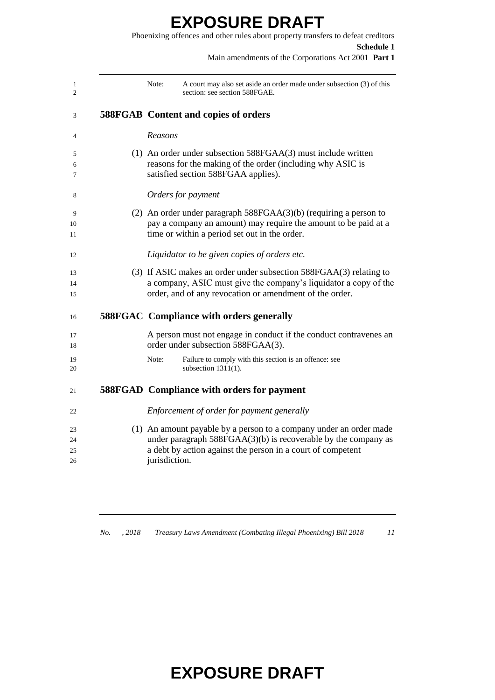#### **EXPOSURE DRAFT** Phoenixing offences and other rules about property transfers to defeat creditors

| <b>Schedule 1</b><br>Main amendments of the Corporations Act 2001 Part 1                                                                                                                                               |
|------------------------------------------------------------------------------------------------------------------------------------------------------------------------------------------------------------------------|
| Note:<br>A court may also set aside an order made under subsection (3) of this<br>section: see section 588FGAE.                                                                                                        |
| <b>588FGAB</b> Content and copies of orders                                                                                                                                                                            |
| Reasons                                                                                                                                                                                                                |
| $(1)$ An order under subsection 588FGAA $(3)$ must include written<br>reasons for the making of the order (including why ASIC is<br>satisfied section 588FGAA applies).                                                |
| Orders for payment                                                                                                                                                                                                     |
| (2) An order under paragraph $588FGAA(3)(b)$ (requiring a person to                                                                                                                                                    |
| pay a company an amount) may require the amount to be paid at a<br>time or within a period set out in the order.                                                                                                       |
| Liquidator to be given copies of orders etc.                                                                                                                                                                           |
| (3) If ASIC makes an order under subsection 588FGAA(3) relating to<br>a company, ASIC must give the company's liquidator a copy of the<br>order, and of any revocation or amendment of the order.                      |
| <b>588FGAC</b> Compliance with orders generally                                                                                                                                                                        |
| A person must not engage in conduct if the conduct contravenes an<br>order under subsection 588FGAA(3).                                                                                                                |
| Failure to comply with this section is an offence: see<br>Note:<br>subsection $1311(1)$ .                                                                                                                              |
| <b>588FGAD</b> Compliance with orders for payment                                                                                                                                                                      |
| Enforcement of order for payment generally                                                                                                                                                                             |
| (1) An amount payable by a person to a company under an order made<br>under paragraph $588FGAA(3)(b)$ is recoverable by the company as<br>a debt by action against the person in a court of competent<br>jurisdiction. |
|                                                                                                                                                                                                                        |

*No. , 2018 Treasury Laws Amendment (Combating Illegal Phoenixing) Bill 2018 11*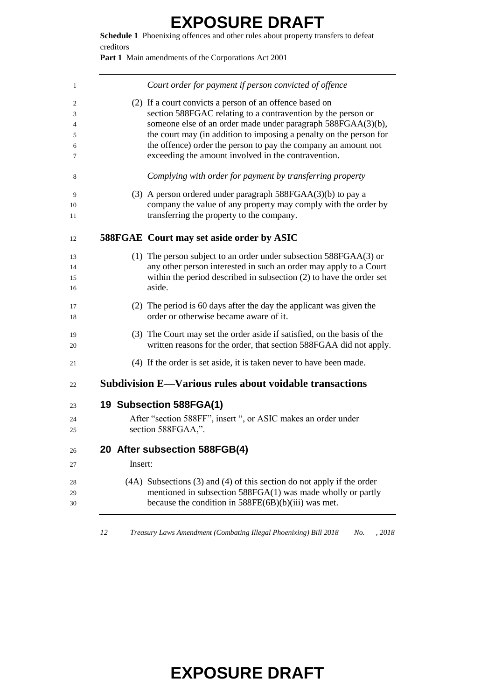**Schedule 1** Phoenixing offences and other rules about property transfers to defeat creditors

Part 1 Main amendments of the Corporations Act 2001

|         | Court order for payment if person convicted of offence                                                                                                                                               |
|---------|------------------------------------------------------------------------------------------------------------------------------------------------------------------------------------------------------|
|         | (2) If a court convicts a person of an offence based on                                                                                                                                              |
|         | section 588FGAC relating to a contravention by the person or                                                                                                                                         |
|         | someone else of an order made under paragraph 588FGAA(3)(b),                                                                                                                                         |
|         | the court may (in addition to imposing a penalty on the person for                                                                                                                                   |
|         | the offence) order the person to pay the company an amount not<br>exceeding the amount involved in the contravention.                                                                                |
|         | Complying with order for payment by transferring property                                                                                                                                            |
|         | (3) A person ordered under paragraph $588FGAA(3)(b)$ to pay a                                                                                                                                        |
|         | company the value of any property may comply with the order by<br>transferring the property to the company.                                                                                          |
|         | <b>588FGAE Court may set aside order by ASIC</b>                                                                                                                                                     |
|         | (1) The person subject to an order under subsection $588FGAA(3)$ or                                                                                                                                  |
|         | any other person interested in such an order may apply to a Court                                                                                                                                    |
|         | within the period described in subsection $(2)$ to have the order set<br>aside.                                                                                                                      |
|         | (2) The period is 60 days after the day the applicant was given the                                                                                                                                  |
|         | order or otherwise became aware of it.                                                                                                                                                               |
|         | (3) The Court may set the order aside if satisfied, on the basis of the<br>written reasons for the order, that section 588FGAA did not apply.                                                        |
|         | (4) If the order is set aside, it is taken never to have been made.                                                                                                                                  |
|         | Subdivision E-Various rules about voidable transactions                                                                                                                                              |
|         | 19 Subsection 588FGA(1)                                                                                                                                                                              |
|         | After "section 588FF", insert ", or ASIC makes an order under                                                                                                                                        |
|         | section 588FGAA,".                                                                                                                                                                                   |
|         | 20 After subsection 588FGB(4)                                                                                                                                                                        |
| Insert: |                                                                                                                                                                                                      |
|         | $(4A)$ Subsections $(3)$ and $(4)$ of this section do not apply if the order<br>mentioned in subsection 588FGA(1) was made wholly or partly<br>because the condition in $588FE(6B)(b)(iii)$ was met. |

*Treasury Laws Amendment (Combating Illegal Phoenixing) Bill 2018 No. , 2018*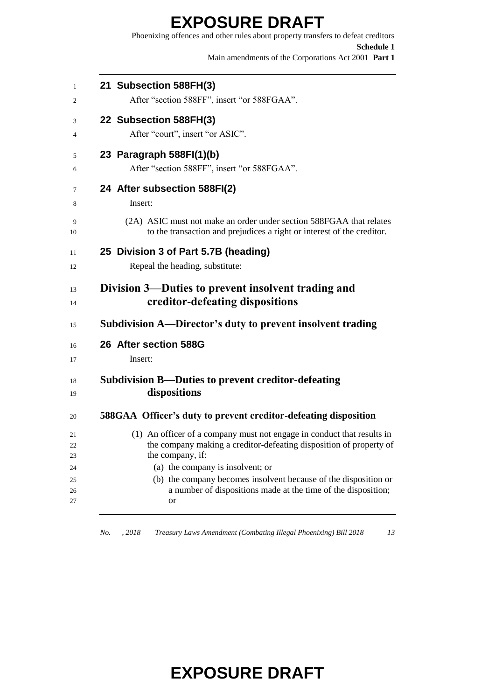**EXPOSURE DRAFT** Phoenixing offences and other rules about property transfers to defeat creditors **Schedule 1** Main amendments of the Corporations Act 2001 **Part 1 21 Subsection 588FH(3)** After "section 588FF", insert "or 588FGAA". **22 Subsection 588FH(3)** After "court", insert "or ASIC". **23 Paragraph 588FI(1)(b)** After "section 588FF", insert "or 588FGAA". **24 After subsection 588FI(2)** Insert: (2A) ASIC must not make an order under section 588FGAA that relates to the transaction and prejudices a right or interest of the creditor. **25 Division 3 of Part 5.7B (heading)** Repeal the heading, substitute: **Division 3—Duties to prevent insolvent trading and creditor-defeating dispositions Subdivision A—Director's duty to prevent insolvent trading 26 After section 588G** Insert: **Subdivision B—Duties to prevent creditor-defeating dispositions 588GAA Officer's duty to prevent creditor-defeating disposition** (1) An officer of a company must not engage in conduct that results in the company making a creditor-defeating disposition of property of the company, if: (a) the company is insolvent; or (b) the company becomes insolvent because of the disposition or a number of dispositions made at the time of the disposition;

or

*No. , 2018 Treasury Laws Amendment (Combating Illegal Phoenixing) Bill 2018 13*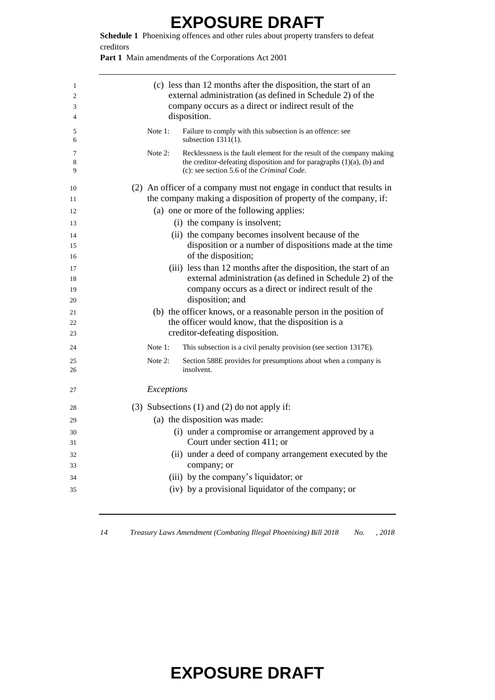**Schedule 1** Phoenixing offences and other rules about property transfers to defeat creditors

Part 1 Main amendments of the Corporations Act 2001

| Failure to comply with this subsection is an offence: see<br>Note $1$ :<br>5<br>subsection $1311(1)$ .<br>6<br>Note 2:<br>7<br>the creditor-defeating disposition and for paragraphs $(1)(a)$ , $(b)$ and<br>8<br>(c): see section 5.6 of the Criminal Code.<br>9<br>(2) An officer of a company must not engage in conduct that results in<br>10<br>the company making a disposition of property of the company, if:<br>11<br>(a) one or more of the following applies:<br>12<br>(i) the company is insolvent;<br>13<br>(ii) the company becomes insolvent because of the<br>14<br>disposition or a number of dispositions made at the time<br>15<br>of the disposition;<br>16<br>(iii) less than 12 months after the disposition, the start of an<br>17<br>external administration (as defined in Schedule 2) of the<br>18<br>company occurs as a direct or indirect result of the<br>19<br>disposition; and<br>20<br>(b) the officer knows, or a reasonable person in the position of<br>21<br>the officer would know, that the disposition is a<br>22<br>creditor-defeating disposition.<br>23<br>Note $1$ :<br>This subsection is a civil penalty provision (see section 1317E).<br>24<br>Note 2:<br>Section 588E provides for presumptions about when a company is<br>25<br>insolvent.<br>26<br>Exceptions<br>27<br>(3) Subsections $(1)$ and $(2)$ do not apply if:<br>28<br>(a) the disposition was made:<br>29<br>(i) under a compromise or arrangement approved by a<br>30<br>Court under section 411; or<br>31<br>(ii) under a deed of company arrangement executed by the<br>32<br>company; or<br>33<br>(iii) by the company's liquidator; or<br>34<br>(iv) by a provisional liquidator of the company; or<br>35 | 1<br>2<br>3<br>4 | (c) less than 12 months after the disposition, the start of an<br>external administration (as defined in Schedule 2) of the<br>company occurs as a direct or indirect result of the<br>disposition. |
|------------------------------------------------------------------------------------------------------------------------------------------------------------------------------------------------------------------------------------------------------------------------------------------------------------------------------------------------------------------------------------------------------------------------------------------------------------------------------------------------------------------------------------------------------------------------------------------------------------------------------------------------------------------------------------------------------------------------------------------------------------------------------------------------------------------------------------------------------------------------------------------------------------------------------------------------------------------------------------------------------------------------------------------------------------------------------------------------------------------------------------------------------------------------------------------------------------------------------------------------------------------------------------------------------------------------------------------------------------------------------------------------------------------------------------------------------------------------------------------------------------------------------------------------------------------------------------------------------------------------------------------------------------------------------------------------------------------------------|------------------|-----------------------------------------------------------------------------------------------------------------------------------------------------------------------------------------------------|
|                                                                                                                                                                                                                                                                                                                                                                                                                                                                                                                                                                                                                                                                                                                                                                                                                                                                                                                                                                                                                                                                                                                                                                                                                                                                                                                                                                                                                                                                                                                                                                                                                                                                                                                              |                  |                                                                                                                                                                                                     |
|                                                                                                                                                                                                                                                                                                                                                                                                                                                                                                                                                                                                                                                                                                                                                                                                                                                                                                                                                                                                                                                                                                                                                                                                                                                                                                                                                                                                                                                                                                                                                                                                                                                                                                                              |                  | Recklessness is the fault element for the result of the company making                                                                                                                              |
|                                                                                                                                                                                                                                                                                                                                                                                                                                                                                                                                                                                                                                                                                                                                                                                                                                                                                                                                                                                                                                                                                                                                                                                                                                                                                                                                                                                                                                                                                                                                                                                                                                                                                                                              |                  |                                                                                                                                                                                                     |
|                                                                                                                                                                                                                                                                                                                                                                                                                                                                                                                                                                                                                                                                                                                                                                                                                                                                                                                                                                                                                                                                                                                                                                                                                                                                                                                                                                                                                                                                                                                                                                                                                                                                                                                              |                  |                                                                                                                                                                                                     |
|                                                                                                                                                                                                                                                                                                                                                                                                                                                                                                                                                                                                                                                                                                                                                                                                                                                                                                                                                                                                                                                                                                                                                                                                                                                                                                                                                                                                                                                                                                                                                                                                                                                                                                                              |                  |                                                                                                                                                                                                     |
|                                                                                                                                                                                                                                                                                                                                                                                                                                                                                                                                                                                                                                                                                                                                                                                                                                                                                                                                                                                                                                                                                                                                                                                                                                                                                                                                                                                                                                                                                                                                                                                                                                                                                                                              |                  |                                                                                                                                                                                                     |
|                                                                                                                                                                                                                                                                                                                                                                                                                                                                                                                                                                                                                                                                                                                                                                                                                                                                                                                                                                                                                                                                                                                                                                                                                                                                                                                                                                                                                                                                                                                                                                                                                                                                                                                              |                  |                                                                                                                                                                                                     |
|                                                                                                                                                                                                                                                                                                                                                                                                                                                                                                                                                                                                                                                                                                                                                                                                                                                                                                                                                                                                                                                                                                                                                                                                                                                                                                                                                                                                                                                                                                                                                                                                                                                                                                                              |                  |                                                                                                                                                                                                     |
|                                                                                                                                                                                                                                                                                                                                                                                                                                                                                                                                                                                                                                                                                                                                                                                                                                                                                                                                                                                                                                                                                                                                                                                                                                                                                                                                                                                                                                                                                                                                                                                                                                                                                                                              |                  |                                                                                                                                                                                                     |
|                                                                                                                                                                                                                                                                                                                                                                                                                                                                                                                                                                                                                                                                                                                                                                                                                                                                                                                                                                                                                                                                                                                                                                                                                                                                                                                                                                                                                                                                                                                                                                                                                                                                                                                              |                  |                                                                                                                                                                                                     |
|                                                                                                                                                                                                                                                                                                                                                                                                                                                                                                                                                                                                                                                                                                                                                                                                                                                                                                                                                                                                                                                                                                                                                                                                                                                                                                                                                                                                                                                                                                                                                                                                                                                                                                                              |                  |                                                                                                                                                                                                     |
|                                                                                                                                                                                                                                                                                                                                                                                                                                                                                                                                                                                                                                                                                                                                                                                                                                                                                                                                                                                                                                                                                                                                                                                                                                                                                                                                                                                                                                                                                                                                                                                                                                                                                                                              |                  |                                                                                                                                                                                                     |
|                                                                                                                                                                                                                                                                                                                                                                                                                                                                                                                                                                                                                                                                                                                                                                                                                                                                                                                                                                                                                                                                                                                                                                                                                                                                                                                                                                                                                                                                                                                                                                                                                                                                                                                              |                  |                                                                                                                                                                                                     |
|                                                                                                                                                                                                                                                                                                                                                                                                                                                                                                                                                                                                                                                                                                                                                                                                                                                                                                                                                                                                                                                                                                                                                                                                                                                                                                                                                                                                                                                                                                                                                                                                                                                                                                                              |                  |                                                                                                                                                                                                     |
|                                                                                                                                                                                                                                                                                                                                                                                                                                                                                                                                                                                                                                                                                                                                                                                                                                                                                                                                                                                                                                                                                                                                                                                                                                                                                                                                                                                                                                                                                                                                                                                                                                                                                                                              |                  |                                                                                                                                                                                                     |
|                                                                                                                                                                                                                                                                                                                                                                                                                                                                                                                                                                                                                                                                                                                                                                                                                                                                                                                                                                                                                                                                                                                                                                                                                                                                                                                                                                                                                                                                                                                                                                                                                                                                                                                              |                  |                                                                                                                                                                                                     |
|                                                                                                                                                                                                                                                                                                                                                                                                                                                                                                                                                                                                                                                                                                                                                                                                                                                                                                                                                                                                                                                                                                                                                                                                                                                                                                                                                                                                                                                                                                                                                                                                                                                                                                                              |                  |                                                                                                                                                                                                     |
|                                                                                                                                                                                                                                                                                                                                                                                                                                                                                                                                                                                                                                                                                                                                                                                                                                                                                                                                                                                                                                                                                                                                                                                                                                                                                                                                                                                                                                                                                                                                                                                                                                                                                                                              |                  |                                                                                                                                                                                                     |
|                                                                                                                                                                                                                                                                                                                                                                                                                                                                                                                                                                                                                                                                                                                                                                                                                                                                                                                                                                                                                                                                                                                                                                                                                                                                                                                                                                                                                                                                                                                                                                                                                                                                                                                              |                  |                                                                                                                                                                                                     |
|                                                                                                                                                                                                                                                                                                                                                                                                                                                                                                                                                                                                                                                                                                                                                                                                                                                                                                                                                                                                                                                                                                                                                                                                                                                                                                                                                                                                                                                                                                                                                                                                                                                                                                                              |                  |                                                                                                                                                                                                     |
|                                                                                                                                                                                                                                                                                                                                                                                                                                                                                                                                                                                                                                                                                                                                                                                                                                                                                                                                                                                                                                                                                                                                                                                                                                                                                                                                                                                                                                                                                                                                                                                                                                                                                                                              |                  |                                                                                                                                                                                                     |
|                                                                                                                                                                                                                                                                                                                                                                                                                                                                                                                                                                                                                                                                                                                                                                                                                                                                                                                                                                                                                                                                                                                                                                                                                                                                                                                                                                                                                                                                                                                                                                                                                                                                                                                              |                  |                                                                                                                                                                                                     |
|                                                                                                                                                                                                                                                                                                                                                                                                                                                                                                                                                                                                                                                                                                                                                                                                                                                                                                                                                                                                                                                                                                                                                                                                                                                                                                                                                                                                                                                                                                                                                                                                                                                                                                                              |                  |                                                                                                                                                                                                     |
|                                                                                                                                                                                                                                                                                                                                                                                                                                                                                                                                                                                                                                                                                                                                                                                                                                                                                                                                                                                                                                                                                                                                                                                                                                                                                                                                                                                                                                                                                                                                                                                                                                                                                                                              |                  |                                                                                                                                                                                                     |
|                                                                                                                                                                                                                                                                                                                                                                                                                                                                                                                                                                                                                                                                                                                                                                                                                                                                                                                                                                                                                                                                                                                                                                                                                                                                                                                                                                                                                                                                                                                                                                                                                                                                                                                              |                  |                                                                                                                                                                                                     |
|                                                                                                                                                                                                                                                                                                                                                                                                                                                                                                                                                                                                                                                                                                                                                                                                                                                                                                                                                                                                                                                                                                                                                                                                                                                                                                                                                                                                                                                                                                                                                                                                                                                                                                                              |                  |                                                                                                                                                                                                     |

*Treasury Laws Amendment (Combating Illegal Phoenixing) Bill 2018 No. , 2018*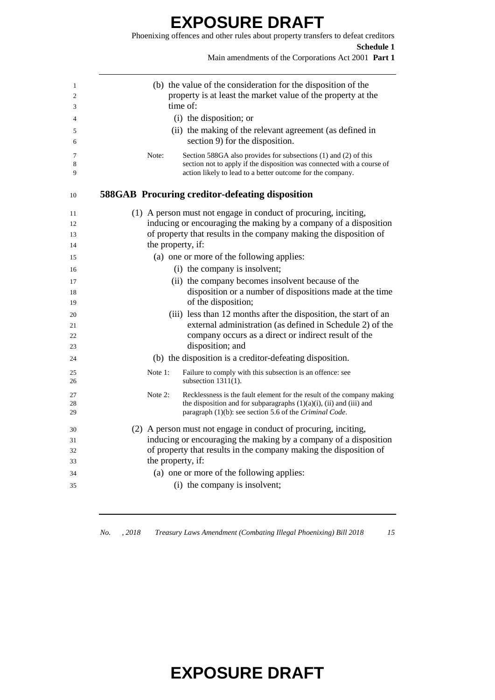#### **EXPOSURE DRAFT** Phoenixing offences and other rules about property transfers to defeat creditors

**Schedule 1** Main amendments of the Corporations Act 2001 **Part 1** (b) the value of the consideration for the disposition of the property is at least the market value of the property at the time of: (i) the disposition; or (ii) the making of the relevant agreement (as defined in section 9) for the disposition. Note: Section 588GA also provides for subsections (1) and (2) of this section not to apply if the disposition was connected with a course of action likely to lead to a better outcome for the company. **588GAB Procuring creditor-defeating disposition** (1) A person must not engage in conduct of procuring, inciting, inducing or encouraging the making by a company of a disposition of property that results in the company making the disposition of 14 the property, if: (a) one or more of the following applies: (i) the company is insolvent; (ii) the company becomes insolvent because of the disposition or a number of dispositions made at the time 19 of the disposition; (iii) less than 12 months after the disposition, the start of an external administration (as defined in Schedule 2) of the company occurs as a direct or indirect result of the disposition; and (b) the disposition is a creditor-defeating disposition. Note 1: Failure to comply with this subsection is an offence: see subsection 1311(1). Note 2: Recklessness is the fault element for the result of the company making 28 the disposition and for subparagraphs  $(1)(a)(i)$ ,  $(ii)$  and  $(iii)$  and paragraph (1)(b): see section 5.6 of the *Criminal Code*. (2) A person must not engage in conduct of procuring, inciting, inducing or encouraging the making by a company of a disposition of property that results in the company making the disposition of the property, if: (a) one or more of the following applies: (i) the company is insolvent;

*No. , 2018 Treasury Laws Amendment (Combating Illegal Phoenixing) Bill 2018 15*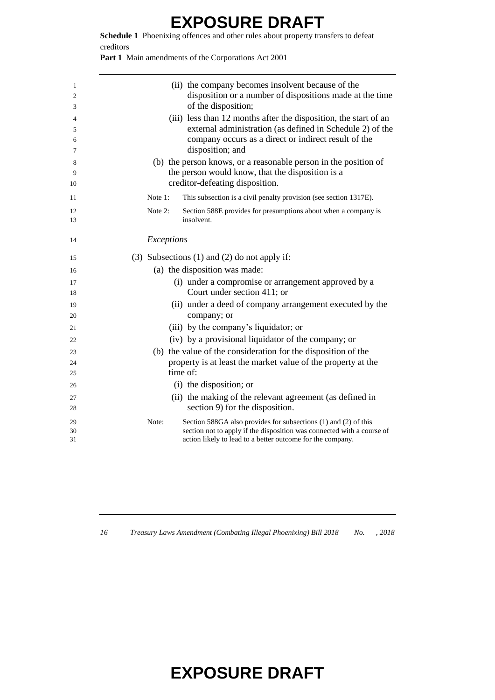**Schedule 1** Phoenixing offences and other rules about property transfers to defeat creditors

Part 1 Main amendments of the Corporations Act 2001

| 1<br>2<br>3<br>4<br>5<br>6<br>7<br>8 | (ii) the company becomes insolvent because of the<br>disposition or a number of dispositions made at the time<br>of the disposition;<br>(iii) less than 12 months after the disposition, the start of an<br>external administration (as defined in Schedule 2) of the<br>company occurs as a direct or indirect result of the<br>disposition; and<br>(b) the person knows, or a reasonable person in the position of |
|--------------------------------------|----------------------------------------------------------------------------------------------------------------------------------------------------------------------------------------------------------------------------------------------------------------------------------------------------------------------------------------------------------------------------------------------------------------------|
| 9<br>10                              | the person would know, that the disposition is a<br>creditor-defeating disposition.                                                                                                                                                                                                                                                                                                                                  |
| 11                                   | Note 1:<br>This subsection is a civil penalty provision (see section 1317E).                                                                                                                                                                                                                                                                                                                                         |
| 12<br>13                             | Note $2$ :<br>Section 588E provides for presumptions about when a company is<br>insolvent.                                                                                                                                                                                                                                                                                                                           |
| 14                                   | Exceptions                                                                                                                                                                                                                                                                                                                                                                                                           |
| 15                                   | $(3)$ Subsections $(1)$ and $(2)$ do not apply if:                                                                                                                                                                                                                                                                                                                                                                   |
| 16                                   | (a) the disposition was made:                                                                                                                                                                                                                                                                                                                                                                                        |
| 17<br>18                             | (i) under a compromise or arrangement approved by a<br>Court under section 411; or                                                                                                                                                                                                                                                                                                                                   |
| 19                                   | (ii) under a deed of company arrangement executed by the                                                                                                                                                                                                                                                                                                                                                             |
| 20                                   | company; or                                                                                                                                                                                                                                                                                                                                                                                                          |
| 21                                   | (iii) by the company's liquidator; or                                                                                                                                                                                                                                                                                                                                                                                |
| 22                                   | (iv) by a provisional liquidator of the company; or                                                                                                                                                                                                                                                                                                                                                                  |
| 23                                   | (b) the value of the consideration for the disposition of the                                                                                                                                                                                                                                                                                                                                                        |
| 24                                   | property is at least the market value of the property at the                                                                                                                                                                                                                                                                                                                                                         |
| 25                                   | time of:                                                                                                                                                                                                                                                                                                                                                                                                             |
| 26                                   | (i) the disposition; or                                                                                                                                                                                                                                                                                                                                                                                              |
| 27<br>28                             | (ii) the making of the relevant agreement (as defined in<br>section 9) for the disposition.                                                                                                                                                                                                                                                                                                                          |
| 29<br>30<br>31                       | Note:<br>Section 588GA also provides for subsections (1) and (2) of this<br>section not to apply if the disposition was connected with a course of<br>action likely to lead to a better outcome for the company.                                                                                                                                                                                                     |

*Treasury Laws Amendment (Combating Illegal Phoenixing) Bill 2018 No. , 2018*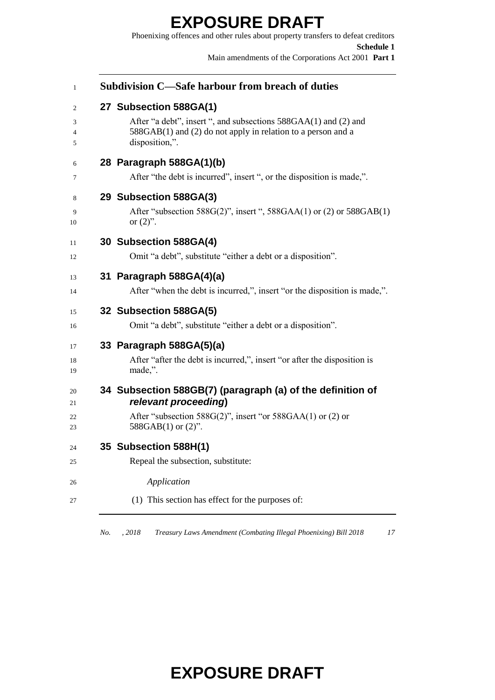Phoenixing offences and other rules about property transfers to defeat creditors **Schedule 1** Main amendments of the Corporations Act 2001 **Part 1**

| 27 Subsection 588GA(1)<br>After "a debt", insert ", and subsections 588GAA(1) and (2) and<br>588GAB(1) and (2) do not apply in relation to a person and a<br>disposition,".<br>28 Paragraph 588GA(1)(b)<br>After "the debt is incurred", insert ", or the disposition is made,".<br>29 Subsection 588GA(3)<br>After "subsection $588G(2)$ ", insert ", $588GAA(1)$ or (2) or $588GAB(1)$<br>or $(2)$ ".<br>30 Subsection 588GA(4)<br>Omit "a debt", substitute "either a debt or a disposition".<br>31 Paragraph 588GA(4)(a)<br>After "when the debt is incurred,", insert "or the disposition is made,".<br>32 Subsection 588GA(5) |
|-------------------------------------------------------------------------------------------------------------------------------------------------------------------------------------------------------------------------------------------------------------------------------------------------------------------------------------------------------------------------------------------------------------------------------------------------------------------------------------------------------------------------------------------------------------------------------------------------------------------------------------|
|                                                                                                                                                                                                                                                                                                                                                                                                                                                                                                                                                                                                                                     |
|                                                                                                                                                                                                                                                                                                                                                                                                                                                                                                                                                                                                                                     |
|                                                                                                                                                                                                                                                                                                                                                                                                                                                                                                                                                                                                                                     |
|                                                                                                                                                                                                                                                                                                                                                                                                                                                                                                                                                                                                                                     |
|                                                                                                                                                                                                                                                                                                                                                                                                                                                                                                                                                                                                                                     |
| Omit "a debt", substitute "either a debt or a disposition".                                                                                                                                                                                                                                                                                                                                                                                                                                                                                                                                                                         |
| 33 Paragraph 588GA(5)(a)<br>After "after the debt is incurred,", insert "or after the disposition is<br>made,".                                                                                                                                                                                                                                                                                                                                                                                                                                                                                                                     |
| 34 Subsection 588GB(7) (paragraph (a) of the definition of<br>relevant proceeding)<br>After "subsection 588G(2)", insert "or 588GAA(1) or (2) or<br>588GAB $(1)$ or $(2)$ ".                                                                                                                                                                                                                                                                                                                                                                                                                                                        |
| 35 Subsection 588H(1)<br>Repeal the subsection, substitute:<br>Application                                                                                                                                                                                                                                                                                                                                                                                                                                                                                                                                                          |
|                                                                                                                                                                                                                                                                                                                                                                                                                                                                                                                                                                                                                                     |

*No. , 2018 Treasury Laws Amendment (Combating Illegal Phoenixing) Bill 2018 17*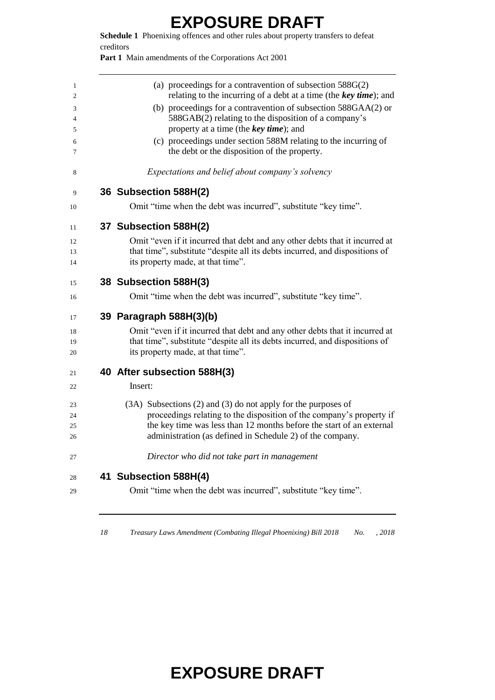**Schedule 1** Phoenixing offences and other rules about property transfers to defeat creditors

Part 1 Main amendments of the Corporations Act 2001

| 1              | (a) proceedings for a contravention of subsection $588G(2)$                                                     |
|----------------|-----------------------------------------------------------------------------------------------------------------|
| $\overline{2}$ | relating to the incurring of a debt at a time (the key time); and                                               |
| 3              | (b) proceedings for a contravention of subsection 588GAA(2) or                                                  |
| 4<br>5         | 588GAB(2) relating to the disposition of a company's<br>property at a time (the key time); and                  |
| 6<br>7         | (c) proceedings under section 588M relating to the incurring of<br>the debt or the disposition of the property. |
| 8              | Expectations and belief about company's solvency                                                                |
| 9              | 36 Subsection 588H(2)                                                                                           |
| 10             | Omit "time when the debt was incurred", substitute "key time".                                                  |
| 11             | 37 Subsection 588H(2)                                                                                           |
| 12             | Omit "even if it incurred that debt and any other debts that it incurred at                                     |
| 13             | that time", substitute "despite all its debts incurred, and dispositions of                                     |
| 14             | its property made, at that time".                                                                               |
| 15             | 38 Subsection 588H(3)                                                                                           |
| 16             | Omit "time when the debt was incurred", substitute "key time".                                                  |
| 17             | 39 Paragraph 588H(3)(b)                                                                                         |
| 18             | Omit "even if it incurred that debt and any other debts that it incurred at                                     |
| 19             | that time", substitute "despite all its debts incurred, and dispositions of                                     |
| 20             | its property made, at that time".                                                                               |
| 21             | 40 After subsection 588H(3)                                                                                     |
| 22             | Insert:                                                                                                         |
| 23             | (3A) Subsections (2) and (3) do not apply for the purposes of                                                   |
| 24             | proceedings relating to the disposition of the company's property if                                            |
| 25             | the key time was less than 12 months before the start of an external                                            |
| 26             | administration (as defined in Schedule 2) of the company.                                                       |
| 27             | Director who did not take part in management                                                                    |
| 28             | 41 Subsection 588H(4)                                                                                           |
| 29             | Omit "time when the debt was incurred", substitute "key time".                                                  |
|                |                                                                                                                 |

*Treasury Laws Amendment (Combating Illegal Phoenixing) Bill 2018 No. , 2018*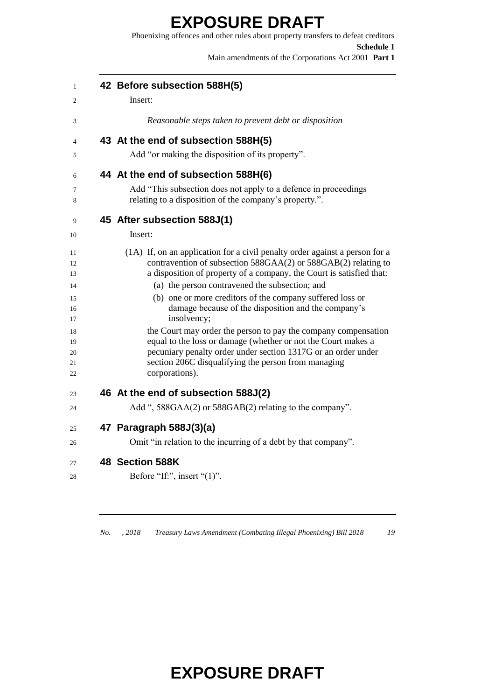Phoenixing offences and other rules about property transfers to defeat creditors **Schedule 1** Main amendments of the Corporations Act 2001 **Part 1**

| 1              | 42 Before subsection 588H(5)                                                                                                                  |
|----------------|-----------------------------------------------------------------------------------------------------------------------------------------------|
| 2              | Insert:                                                                                                                                       |
| 3              | Reasonable steps taken to prevent debt or disposition                                                                                         |
| 4              | 43 At the end of subsection 588H(5)                                                                                                           |
| 5              | Add "or making the disposition of its property".                                                                                              |
| 6              | 44 At the end of subsection 588H(6)                                                                                                           |
| 7<br>8         | Add "This subsection does not apply to a defence in proceedings<br>relating to a disposition of the company's property.".                     |
| 9              | 45 After subsection 588J(1)                                                                                                                   |
| 10             | Insert:                                                                                                                                       |
| 11<br>12       | (1A) If, on an application for a civil penalty order against a person for a<br>contravention of subsection 588GAA(2) or 588GAB(2) relating to |
| 13             | a disposition of property of a company, the Court is satisfied that:                                                                          |
| 14             | (a) the person contravened the subsection; and                                                                                                |
| 15<br>16<br>17 | (b) one or more creditors of the company suffered loss or<br>damage because of the disposition and the company's<br>insolvency;               |
| 18             | the Court may order the person to pay the company compensation                                                                                |
| 19             | equal to the loss or damage (whether or not the Court makes a                                                                                 |
| 20<br>21       | pecuniary penalty order under section 1317G or an order under<br>section 206C disqualifying the person from managing                          |
| 22             | corporations).                                                                                                                                |
| 23             | 46 At the end of subsection 588J(2)                                                                                                           |
| 24             | Add ", 588GAA(2) or 588GAB(2) relating to the company".                                                                                       |
| 25             | 47 Paragraph 588J(3)(a)                                                                                                                       |
| 26             | Omit "in relation to the incurring of a debt by that company".                                                                                |
| 27             | 48 Section 588K                                                                                                                               |
| 28             | Before "If:", insert " $(1)$ ".                                                                                                               |

*No. , 2018 Treasury Laws Amendment (Combating Illegal Phoenixing) Bill 2018 19*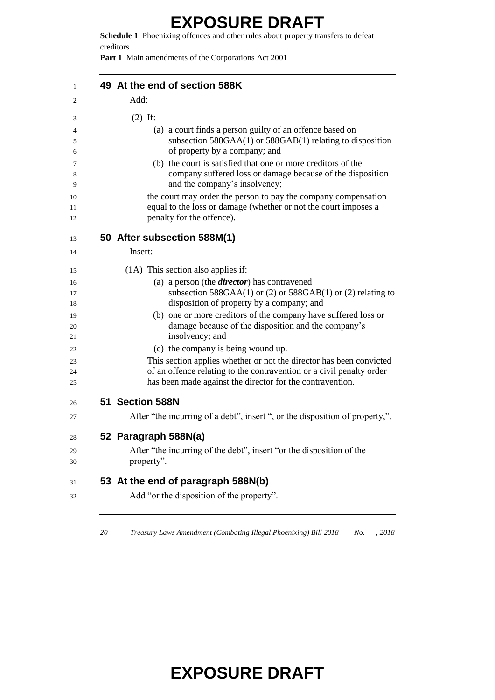**Schedule 1** Phoenixing offences and other rules about property transfers to defeat creditors

**Part 1** Main amendments of the Corporations Act 2001

| 49 At the end of section 588K                                                                                                                                                                            |
|----------------------------------------------------------------------------------------------------------------------------------------------------------------------------------------------------------|
| Add:                                                                                                                                                                                                     |
| $(2)$ If:                                                                                                                                                                                                |
| (a) a court finds a person guilty of an offence based on                                                                                                                                                 |
| subsection $588GAA(1)$ or $588GAB(1)$ relating to disposition<br>of property by a company; and                                                                                                           |
| (b) the court is satisfied that one or more creditors of the                                                                                                                                             |
| company suffered loss or damage because of the disposition<br>and the company's insolvency;                                                                                                              |
| the court may order the person to pay the company compensation                                                                                                                                           |
| equal to the loss or damage (whether or not the court imposes a<br>penalty for the offence).                                                                                                             |
| 50 After subsection 588M(1)                                                                                                                                                                              |
| Insert:                                                                                                                                                                                                  |
| (1A) This section also applies if:                                                                                                                                                                       |
| (a) a person (the <i>director</i> ) has contravened                                                                                                                                                      |
| subsection $588GAA(1)$ or (2) or $588GAB(1)$ or (2) relating to                                                                                                                                          |
| disposition of property by a company; and<br>(b) one or more creditors of the company have suffered loss or                                                                                              |
| damage because of the disposition and the company's<br>insolvency; and                                                                                                                                   |
| (c) the company is being wound up.                                                                                                                                                                       |
| This section applies whether or not the director has been convicted<br>of an offence relating to the contravention or a civil penalty order<br>has been made against the director for the contravention. |
| 51 Section 588N                                                                                                                                                                                          |
| After "the incurring of a debt", insert ", or the disposition of property,".                                                                                                                             |
| 52 Paragraph 588N(a)                                                                                                                                                                                     |
| After "the incurring of the debt", insert "or the disposition of the<br>property".                                                                                                                       |
| 53 At the end of paragraph 588N(b)                                                                                                                                                                       |
| Add "or the disposition of the property".                                                                                                                                                                |

*Treasury Laws Amendment (Combating Illegal Phoenixing) Bill 2018 No. , 2018*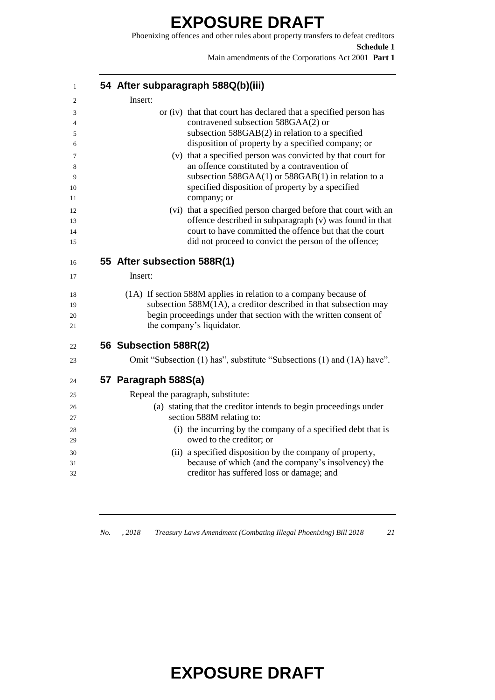Phoenixing offences and other rules about property transfers to defeat creditors **Schedule 1**

Main amendments of the Corporations Act 2001 **Part 1**

| $\mathbf{1}$         | 54 After subparagraph 588Q(b)(iii)                                                                                                                                                                                                           |
|----------------------|----------------------------------------------------------------------------------------------------------------------------------------------------------------------------------------------------------------------------------------------|
| 2                    | Insert:                                                                                                                                                                                                                                      |
| 3<br>$\overline{4}$  | or (iv) that that court has declared that a specified person has<br>contravened subsection 588GAA(2) or                                                                                                                                      |
| 5<br>6               | subsection $588GAB(2)$ in relation to a specified<br>disposition of property by a specified company; or                                                                                                                                      |
| 7<br>8<br>9          | (v) that a specified person was convicted by that court for<br>an offence constituted by a contravention of<br>subsection 588GAA(1) or 588GAB(1) in relation to a                                                                            |
| 10<br>11             | specified disposition of property by a specified<br>company; or                                                                                                                                                                              |
| 12<br>13<br>14<br>15 | (vi) that a specified person charged before that court with an<br>offence described in subparagraph (v) was found in that<br>court to have committed the offence but that the court<br>did not proceed to convict the person of the offence; |
| 16                   | 55 After subsection 588R(1)                                                                                                                                                                                                                  |
| 17                   | Insert:                                                                                                                                                                                                                                      |
| 18<br>19<br>20<br>21 | (1A) If section 588M applies in relation to a company because of<br>subsection 588M(1A), a creditor described in that subsection may<br>begin proceedings under that section with the written consent of<br>the company's liquidator.        |
| 22                   | 56 Subsection 588R(2)                                                                                                                                                                                                                        |
| 23                   | Omit "Subsection (1) has", substitute "Subsections (1) and (1A) have".                                                                                                                                                                       |
| 24                   | 57 Paragraph 588S(a)                                                                                                                                                                                                                         |
| 25                   | Repeal the paragraph, substitute:                                                                                                                                                                                                            |
| 26                   | (a) stating that the creditor intends to begin proceedings under<br>section 588M relating to:                                                                                                                                                |
| 27                   | (i) the incurring by the company of a specified debt that is                                                                                                                                                                                 |
| 28<br>29             | owed to the creditor; or                                                                                                                                                                                                                     |
| 30                   | (ii) a specified disposition by the company of property,                                                                                                                                                                                     |
| 31                   | because of which (and the company's insolvency) the                                                                                                                                                                                          |
| 32                   | creditor has suffered loss or damage; and                                                                                                                                                                                                    |

*No. , 2018 Treasury Laws Amendment (Combating Illegal Phoenixing) Bill 2018 21*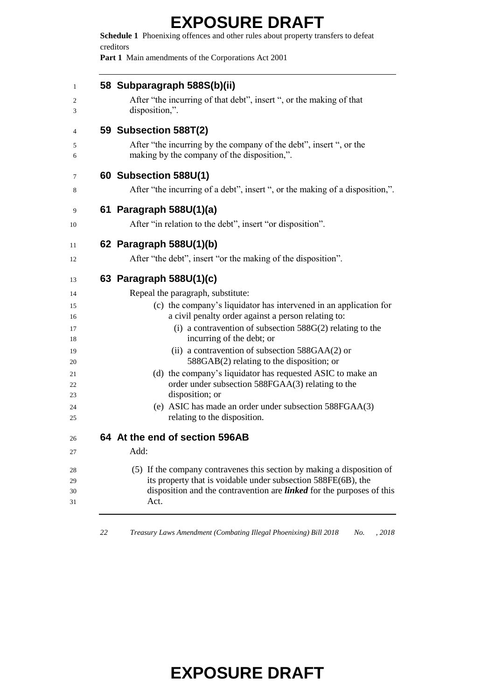**Schedule 1** Phoenixing offences and other rules about property transfers to defeat creditors

**Part 1** Main amendments of the Corporations Act 2001

| 58 Subparagraph 588S(b)(ii)<br>After "the incurring of that debt", insert ", or the making of that<br>disposition,".                                                                                                                                                                                                                                                                                                                                                                                                                                                                                                 |
|----------------------------------------------------------------------------------------------------------------------------------------------------------------------------------------------------------------------------------------------------------------------------------------------------------------------------------------------------------------------------------------------------------------------------------------------------------------------------------------------------------------------------------------------------------------------------------------------------------------------|
| 59 Subsection 588T(2)<br>After "the incurring by the company of the debt", insert ", or the<br>making by the company of the disposition,".                                                                                                                                                                                                                                                                                                                                                                                                                                                                           |
| 60 Subsection 588U(1)<br>After "the incurring of a debt", insert ", or the making of a disposition,".                                                                                                                                                                                                                                                                                                                                                                                                                                                                                                                |
| 61 Paragraph 588U(1)(a)<br>After "in relation to the debt", insert "or disposition".                                                                                                                                                                                                                                                                                                                                                                                                                                                                                                                                 |
| 62 Paragraph 588U(1)(b)<br>After "the debt", insert "or the making of the disposition".                                                                                                                                                                                                                                                                                                                                                                                                                                                                                                                              |
| 63 Paragraph 588U(1)(c)<br>Repeal the paragraph, substitute:<br>(c) the company's liquidator has intervened in an application for<br>a civil penalty order against a person relating to:<br>(i) a contravention of subsection $588G(2)$ relating to the<br>incurring of the debt; or<br>(ii) a contravention of subsection 588GAA(2) or<br>588GAB(2) relating to the disposition; or<br>(d) the company's liquidator has requested ASIC to make an<br>order under subsection 588FGAA(3) relating to the<br>disposition; or<br>(e) ASIC has made an order under subsection 588FGAA(3)<br>relating to the disposition. |
| 64 At the end of section 596AB<br>Add:<br>(5) If the company contravenes this section by making a disposition of<br>its property that is voidable under subsection 588FE(6B), the<br>disposition and the contravention are <i>linked</i> for the purposes of this                                                                                                                                                                                                                                                                                                                                                    |

*Treasury Laws Amendment (Combating Illegal Phoenixing) Bill 2018 No. , 2018*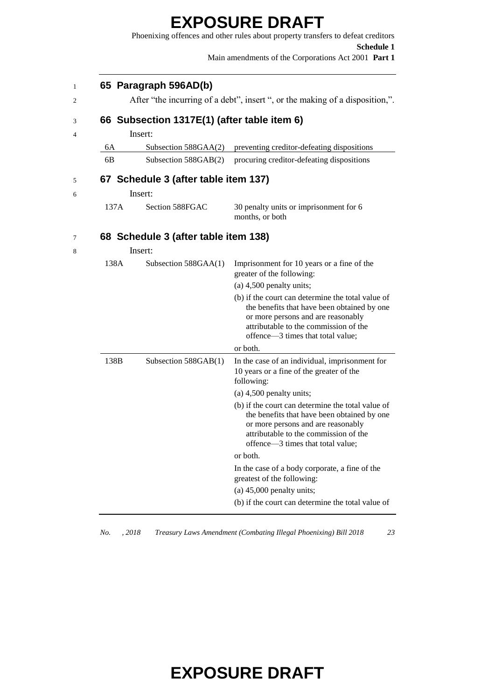|      |                                             | <b>Schedule 1</b><br>Main amendments of the Corporations Act 2001 Part 1                                                                                                                                             |
|------|---------------------------------------------|----------------------------------------------------------------------------------------------------------------------------------------------------------------------------------------------------------------------|
|      | 65 Paragraph 596AD(b)                       |                                                                                                                                                                                                                      |
|      |                                             | After "the incurring of a debt", insert ", or the making of a disposition,".                                                                                                                                         |
|      | 66 Subsection 1317E(1) (after table item 6) |                                                                                                                                                                                                                      |
|      | Insert:                                     |                                                                                                                                                                                                                      |
| 6А   | Subsection 588GAA(2)                        | preventing creditor-defeating dispositions                                                                                                                                                                           |
| 6B   | Subsection 588GAB(2)                        | procuring creditor-defeating dispositions                                                                                                                                                                            |
|      | 67 Schedule 3 (after table item 137)        |                                                                                                                                                                                                                      |
|      | Insert:                                     |                                                                                                                                                                                                                      |
| 137A | Section 588FGAC                             | 30 penalty units or imprisonment for 6<br>months, or both                                                                                                                                                            |
|      | 68 Schedule 3 (after table item 138)        |                                                                                                                                                                                                                      |
|      | Insert:                                     |                                                                                                                                                                                                                      |
| 138A | Subsection 588GAA(1)                        | Imprisonment for 10 years or a fine of the<br>greater of the following:                                                                                                                                              |
|      |                                             | $(a)$ 4,500 penalty units;                                                                                                                                                                                           |
|      |                                             | (b) if the court can determine the total value of<br>the benefits that have been obtained by one<br>or more persons and are reasonably<br>attributable to the commission of the<br>offence-3 times that total value; |
|      |                                             | or both.                                                                                                                                                                                                             |
| 138B | Subsection 588GAB(1)                        | In the case of an individual, imprisonment for<br>10 years or a fine of the greater of the<br>following:                                                                                                             |

|          | (b) if the court can determine the total value of |
|----------|---------------------------------------------------|
|          | the benefits that have been obtained by one       |
|          | or more persons and are reasonably                |
|          | attributable to the commission of the             |
|          | offence—3 times that total value;                 |
| or both. |                                                   |

In the case of a body corporate, a fine of the greatest of the following: (a) 45,000 penalty units; (b) if the court can determine the total value of

*No. , 2018 Treasury Laws Amendment (Combating Illegal Phoenixing) Bill 2018 23*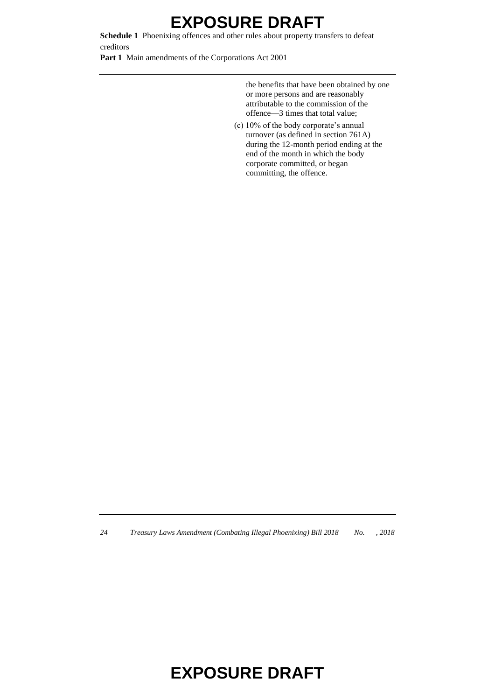**Schedule 1** Phoenixing offences and other rules about property transfers to defeat creditors

**Part 1** Main amendments of the Corporations Act 2001

the benefits that have been obtained by one or more persons and are reasonably attributable to the commission of the offence—3 times that total value;

(c) 10% of the body corporate's annual turnover (as defined in section 761A) during the 12-month period ending at the end of the month in which the body corporate committed, or began committing, the offence.

*24 Treasury Laws Amendment (Combating Illegal Phoenixing) Bill 2018 No. , 2018*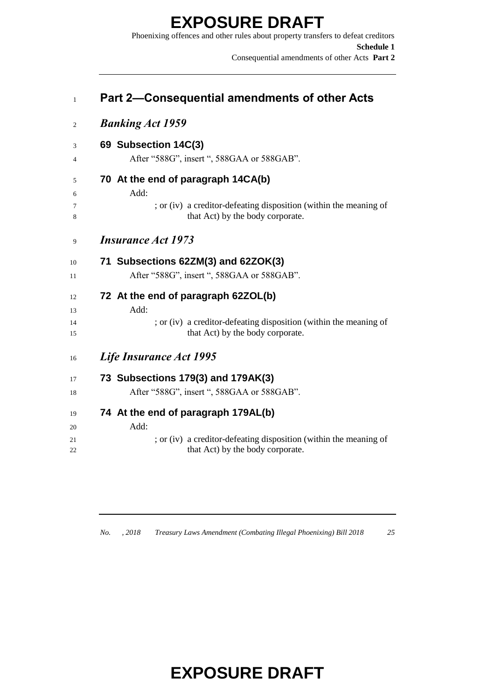Phoenixing offences and other rules about property transfers to defeat creditors **Schedule 1** Consequential amendments of other Acts **Part 2**

| Part 2-Consequential amendments of other Acts                                                         |
|-------------------------------------------------------------------------------------------------------|
| <b>Banking Act 1959</b>                                                                               |
| 69 Subsection 14C(3)                                                                                  |
| After "588G", insert ", 588GAA or 588GAB".                                                            |
| 70 At the end of paragraph 14CA(b)                                                                    |
| Add:                                                                                                  |
| ; or (iv) a creditor-defeating disposition (within the meaning of<br>that Act) by the body corporate. |
| <b>Insurance Act 1973</b>                                                                             |
| 71 Subsections 62ZM(3) and 62ZOK(3)                                                                   |
| After "588G", insert ", 588GAA or 588GAB".                                                            |
| 72 At the end of paragraph 62ZOL(b)                                                                   |
| Add:                                                                                                  |
| ; or (iv) a creditor-defeating disposition (within the meaning of<br>that Act) by the body corporate. |
| Life Insurance Act 1995                                                                               |
| 73 Subsections 179(3) and 179AK(3)                                                                    |
| After "588G", insert ", 588GAA or 588GAB".                                                            |
| 74 At the end of paragraph 179AL(b)                                                                   |
| Add:                                                                                                  |
| ; or (iv) a creditor-defeating disposition (within the meaning of                                     |
| that Act) by the body corporate.                                                                      |

*No. , 2018 Treasury Laws Amendment (Combating Illegal Phoenixing) Bill 2018 25*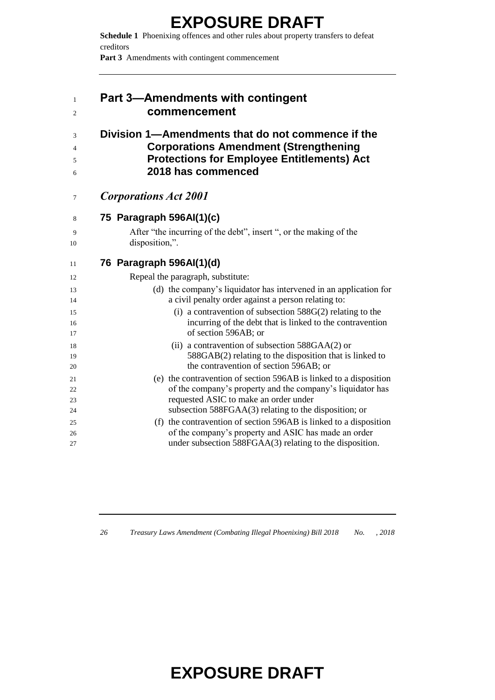**Schedule 1** Phoenixing offences and other rules about property transfers to defeat creditors

Part 3 Amendments with contingent commencement

| $\mathbf{1}$<br>2 | <b>Part 3-Amendments with contingent</b><br>commencement                                                                                                                     |
|-------------------|------------------------------------------------------------------------------------------------------------------------------------------------------------------------------|
| 3<br>4<br>5<br>6  | Division 1-Amendments that do not commence if the<br><b>Corporations Amendment (Strengthening</b><br><b>Protections for Employee Entitlements) Act</b><br>2018 has commenced |
| 7                 | <b>Corporations Act 2001</b>                                                                                                                                                 |
| 8                 | 75 Paragraph 596AI(1)(c)                                                                                                                                                     |
| 9<br>10           | After "the incurring of the debt", insert ", or the making of the<br>disposition,".                                                                                          |
| 11                | 76 Paragraph 596AI(1)(d)                                                                                                                                                     |
| 12                | Repeal the paragraph, substitute:                                                                                                                                            |
| 13                | (d) the company's liquidator has intervened in an application for                                                                                                            |
| 14                | a civil penalty order against a person relating to:                                                                                                                          |
| 15                | (i) a contravention of subsection $588G(2)$ relating to the                                                                                                                  |
| 16<br>17          | incurring of the debt that is linked to the contravention<br>of section 596AB; or                                                                                            |
| 18                | (ii) a contravention of subsection $588GAA(2)$ or                                                                                                                            |
| 19                | 588GAB(2) relating to the disposition that is linked to                                                                                                                      |
| 20                | the contravention of section 596AB; or                                                                                                                                       |
| 21                | (e) the contravention of section 596AB is linked to a disposition                                                                                                            |
| 22                | of the company's property and the company's liquidator has                                                                                                                   |
| 23                | requested ASIC to make an order under                                                                                                                                        |
| 24                | subsection 588FGAA(3) relating to the disposition; or                                                                                                                        |
| 25                | (f) the contravention of section 596AB is linked to a disposition<br>of the company's property and ASIC has made an order                                                    |
| 26<br>27          | under subsection 588FGAA(3) relating to the disposition.                                                                                                                     |

*Treasury Laws Amendment (Combating Illegal Phoenixing) Bill 2018 No. , 2018*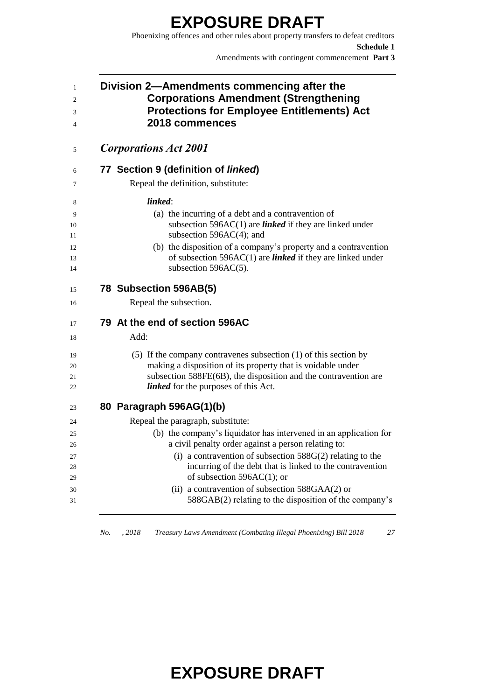Phoenixing offences and other rules about property transfers to defeat creditors **Schedule 1** Amendments with contingent commencement **Part 3**

| Division 2—Amendments commencing after the<br><b>Corporations Amendment (Strengthening</b><br><b>Protections for Employee Entitlements) Act</b><br>2018 commences                                                                                                                                                                      |  |  |
|----------------------------------------------------------------------------------------------------------------------------------------------------------------------------------------------------------------------------------------------------------------------------------------------------------------------------------------|--|--|
| <b>Corporations Act 2001</b>                                                                                                                                                                                                                                                                                                           |  |  |
| 77 Section 9 (definition of linked)                                                                                                                                                                                                                                                                                                    |  |  |
| Repeal the definition, substitute:                                                                                                                                                                                                                                                                                                     |  |  |
| linked:<br>(a) the incurring of a debt and a contravention of<br>subsection 596AC $(1)$ are <i>linked</i> if they are linked under<br>subsection $596AC(4)$ ; and<br>(b) the disposition of a company's property and a contravention<br>of subsection $596AC(1)$ are <i>linked</i> if they are linked under<br>subsection $596AC(5)$ . |  |  |
| 78 Subsection 596AB(5)<br>Repeal the subsection.                                                                                                                                                                                                                                                                                       |  |  |
| 79 At the end of section 596AC<br>Add:                                                                                                                                                                                                                                                                                                 |  |  |
| $(5)$ If the company contravenes subsection $(1)$ of this section by<br>making a disposition of its property that is voidable under<br>subsection 588FE(6B), the disposition and the contravention are<br><i>linked</i> for the purposes of this Act.                                                                                  |  |  |
| 80 Paragraph 596AG(1)(b)                                                                                                                                                                                                                                                                                                               |  |  |
| Repeal the paragraph, substitute:                                                                                                                                                                                                                                                                                                      |  |  |
| (b) the company's liquidator has intervened in an application for<br>a civil penalty order against a person relating to:                                                                                                                                                                                                               |  |  |
| (i) a contravention of subsection $588G(2)$ relating to the<br>incurring of the debt that is linked to the contravention<br>of subsection $596AC(1)$ ; or                                                                                                                                                                              |  |  |
| (ii) a contravention of subsection $588GAA(2)$ or<br>588GAB(2) relating to the disposition of the company's                                                                                                                                                                                                                            |  |  |

*No. , 2018 Treasury Laws Amendment (Combating Illegal Phoenixing) Bill 2018 27*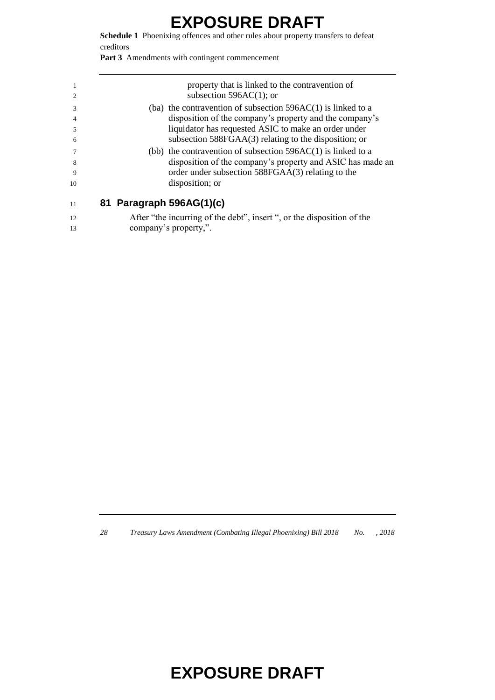**Schedule 1** Phoenixing offences and other rules about property transfers to defeat creditors

Part 3 Amendments with contingent commencement

|    |                          | property that is linked to the contravention of                |
|----|--------------------------|----------------------------------------------------------------|
|    |                          | subsection $596AC(1)$ ; or                                     |
| 3  |                          | (ba) the contravention of subsection $596AC(1)$ is linked to a |
|    |                          | disposition of the company's property and the company's        |
|    |                          | liquidator has requested ASIC to make an order under           |
| 6  |                          | subsection 588FGAA(3) relating to the disposition; or          |
|    |                          | (bb) the contravention of subsection $596AC(1)$ is linked to a |
| 8  |                          | disposition of the company's property and ASIC has made an     |
| 9  |                          | order under subsection 588FGAA(3) relating to the              |
| 10 |                          | disposition; or                                                |
| 11 | 81 Paragraph 596AG(1)(c) |                                                                |
|    |                          |                                                                |

| After "the incurring of the debt", insert ", or the disposition of the |
|------------------------------------------------------------------------|
| company's property,".                                                  |

*Treasury Laws Amendment (Combating Illegal Phoenixing) Bill 2018 No. , 2018*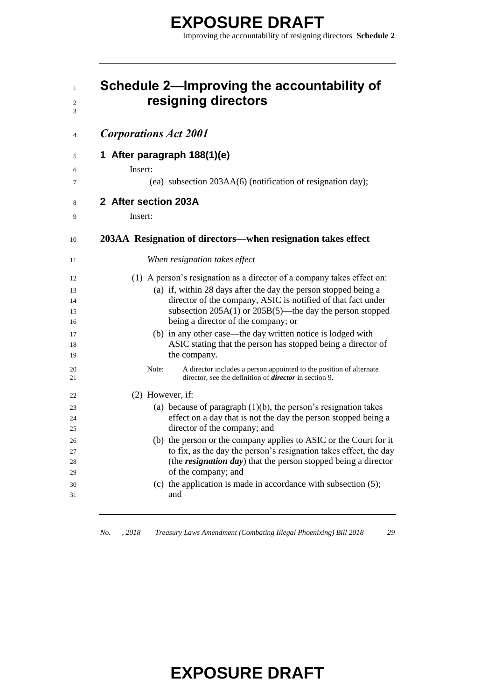| $\mathbf{1}$<br>$\overline{2}$<br>3 | Schedule 2-Improving the accountability of<br>resigning directors                                                                           |
|-------------------------------------|---------------------------------------------------------------------------------------------------------------------------------------------|
| 4                                   | <b>Corporations Act 2001</b>                                                                                                                |
| 5                                   | 1 After paragraph 188(1)(e)                                                                                                                 |
| 6                                   | Insert:                                                                                                                                     |
| 7                                   | (ea) subsection 203AA(6) (notification of resignation day);                                                                                 |
| 8                                   | 2 After section 203A                                                                                                                        |
| 9                                   | Insert:                                                                                                                                     |
| 10                                  | 203AA Resignation of directors—when resignation takes effect                                                                                |
| 11                                  | When resignation takes effect                                                                                                               |
| 12                                  | (1) A person's resignation as a director of a company takes effect on:                                                                      |
| 13                                  | (a) if, within 28 days after the day the person stopped being a                                                                             |
| 14                                  | director of the company, ASIC is notified of that fact under                                                                                |
| 15                                  | subsection $205A(1)$ or $205B(5)$ —the day the person stopped                                                                               |
| 16                                  | being a director of the company; or                                                                                                         |
| 17                                  | (b) in any other case—the day written notice is lodged with<br>ASIC stating that the person has stopped being a director of                 |
| 18<br>19                            | the company.                                                                                                                                |
| 20                                  | Note:<br>A director includes a person appointed to the position of alternate                                                                |
| 21                                  | director, see the definition of <i>director</i> in section 9.                                                                               |
| 22                                  | (2) However, if:                                                                                                                            |
| 23                                  | (a) because of paragraph $(1)(b)$ , the person's resignation takes                                                                          |
| 24                                  | effect on a day that is not the day the person stopped being a                                                                              |
| 25                                  | director of the company; and                                                                                                                |
| 26                                  | (b) the person or the company applies to ASIC or the Court for it                                                                           |
| 27<br>28                            | to fix, as the day the person's resignation takes effect, the day<br>(the <i>resignation day</i> ) that the person stopped being a director |
| 29                                  | of the company; and                                                                                                                         |
| 30                                  | (c) the application is made in accordance with subsection $(5)$ ;                                                                           |
| 31                                  | and                                                                                                                                         |
|                                     |                                                                                                                                             |

*No. , 2018 Treasury Laws Amendment (Combating Illegal Phoenixing) Bill 2018 29*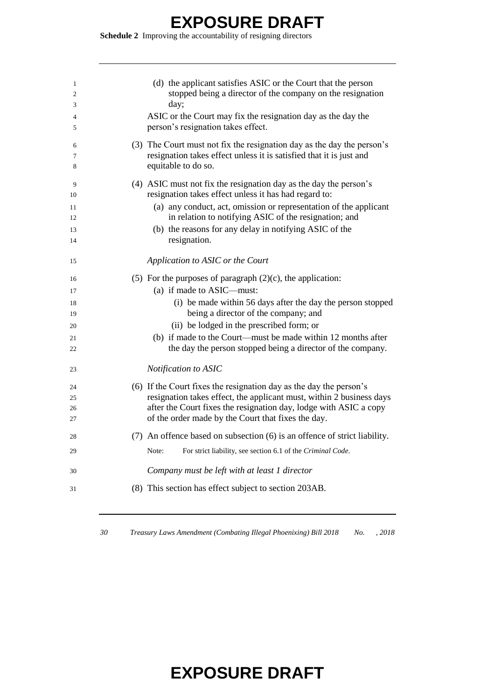**Schedule 2** Improving the accountability of resigning directors

| 1<br>2        | (d) the applicant satisfies ASIC or the Court that the person<br>stopped being a director of the company on the resignation                                                                     |
|---------------|-------------------------------------------------------------------------------------------------------------------------------------------------------------------------------------------------|
| 3             | day;                                                                                                                                                                                            |
| 4<br>5        | ASIC or the Court may fix the resignation day as the day the<br>person's resignation takes effect.                                                                                              |
| 6<br>7<br>8   | (3) The Court must not fix the resignation day as the day the person's<br>resignation takes effect unless it is satisfied that it is just and<br>equitable to do so.                            |
| 9<br>10<br>11 | (4) ASIC must not fix the resignation day as the day the person's<br>resignation takes effect unless it has had regard to:<br>(a) any conduct, act, omission or representation of the applicant |
| 12            | in relation to notifying ASIC of the resignation; and                                                                                                                                           |
| 13<br>14      | (b) the reasons for any delay in notifying ASIC of the<br>resignation.                                                                                                                          |
| 15            | Application to ASIC or the Court                                                                                                                                                                |
| 16            | (5) For the purposes of paragraph $(2)(c)$ , the application:                                                                                                                                   |
| 17            | (a) if made to ASIC—must:                                                                                                                                                                       |
| 18            | (i) be made within 56 days after the day the person stopped                                                                                                                                     |
| 19            | being a director of the company; and                                                                                                                                                            |
| 20            | (ii) be lodged in the prescribed form; or                                                                                                                                                       |
| 21            | (b) if made to the Court—must be made within 12 months after                                                                                                                                    |
| 22            | the day the person stopped being a director of the company.                                                                                                                                     |
| 23            | Notification to ASIC                                                                                                                                                                            |
| 24            | (6) If the Court fixes the resignation day as the day the person's                                                                                                                              |
| 25            | resignation takes effect, the applicant must, within 2 business days                                                                                                                            |
| 26            | after the Court fixes the resignation day, lodge with ASIC a copy                                                                                                                               |
| 27            | of the order made by the Court that fixes the day.                                                                                                                                              |
| 28            | (7) An offence based on subsection (6) is an offence of strict liability.                                                                                                                       |
| 29            | Note:<br>For strict liability, see section 6.1 of the Criminal Code.                                                                                                                            |
| 30            | Company must be left with at least 1 director                                                                                                                                                   |
| 31            | (8) This section has effect subject to section 203AB.                                                                                                                                           |
|               |                                                                                                                                                                                                 |

*Treasury Laws Amendment (Combating Illegal Phoenixing) Bill 2018 No. , 2018*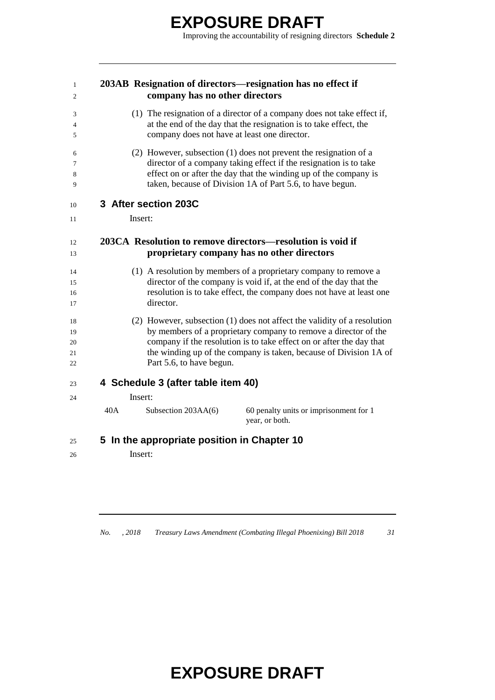#### **203AB Resignation of directors—resignation has no effect if company has no other directors**

- (1) The resignation of a director of a company does not take effect if, at the end of the day that the resignation is to take effect, the company does not have at least one director.
- (2) However, subsection (1) does not prevent the resignation of a director of a company taking effect if the resignation is to take effect on or after the day that the winding up of the company is taken, because of Division 1A of Part 5.6, to have begun.

#### **3 After section 203C**

**Insert:** 

#### **203CA Resolution to remove directors—resolution is void if proprietary company has no other directors**

- (1) A resolution by members of a proprietary company to remove a director of the company is void if, at the end of the day that the resolution is to take effect, the company does not have at least one director.
- (2) However, subsection (1) does not affect the validity of a resolution by members of a proprietary company to remove a director of the company if the resolution is to take effect on or after the day that the winding up of the company is taken, because of Division 1A of Part 5.6, to have begun.

#### **4 Schedule 3 (after table item 40)**

Insert:

40A Subsection 203AA(6) 60 penalty units or imprisonment for 1 year, or both.

#### **5 In the appropriate position in Chapter 10**

Insert:

*No. , 2018 Treasury Laws Amendment (Combating Illegal Phoenixing) Bill 2018 31*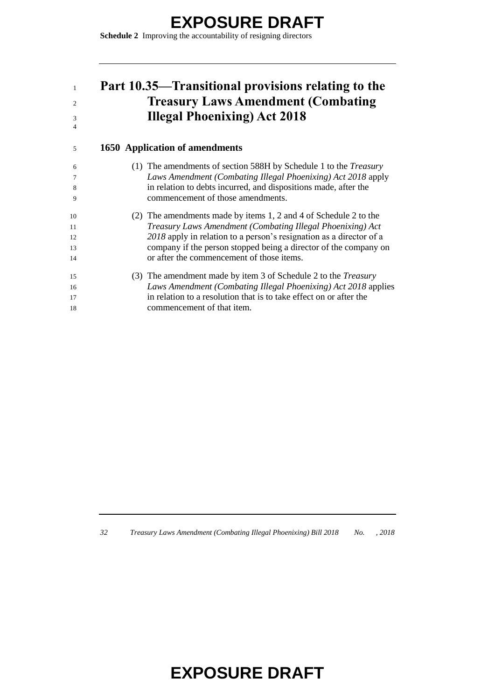**Schedule 2** Improving the accountability of resigning directors

#### **Part 10.35—Transitional provisions relating to the Treasury Laws Amendment (Combating Illegal Phoenixing) Act 2018**

#### **1650 Application of amendments**

| -6 | (1) The amendments of section 588H by Schedule 1 to the <i>Treasury</i> |
|----|-------------------------------------------------------------------------|
| 7  | Laws Amendment (Combating Illegal Phoenixing) Act 2018 apply            |
| 8  | in relation to debts incurred, and dispositions made, after the         |
| 9  | commencement of those amendments.                                       |
| 10 | (2) The amendments made by items 1, 2 and 4 of Schedule 2 to the        |
| 11 | Treasury Laws Amendment (Combating Illegal Phoenixing) Act              |
| 12 | 2018 apply in relation to a person's resignation as a director of a     |
| 13 | company if the person stopped being a director of the company on        |
| 14 | or after the commencement of those items.                               |
| 15 | (3) The amendment made by item 3 of Schedule 2 to the <i>Treasury</i>   |
| 16 | Laws Amendment (Combating Illegal Phoenixing) Act 2018 applies          |
| 17 | in relation to a resolution that is to take effect on or after the      |
| 18 | commencement of that item.                                              |

*Treasury Laws Amendment (Combating Illegal Phoenixing) Bill 2018 No. , 2018*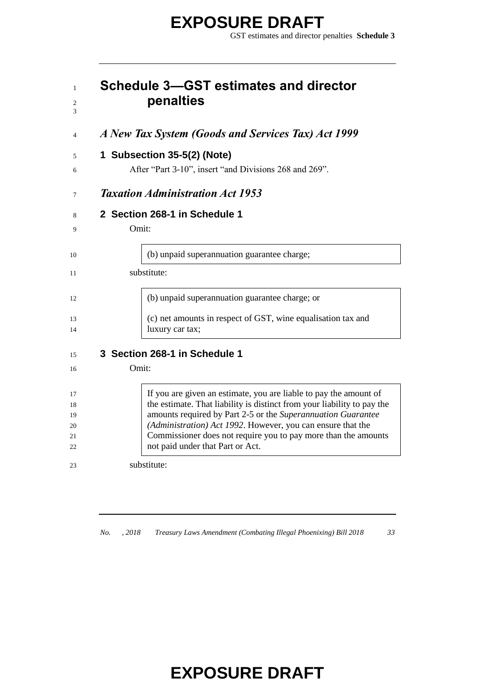#### **Schedule 3—GST estimates and director penalties**

*A New Tax System (Goods and Services Tax) Act 1999*

#### **1 Subsection 35-5(2) (Note)**

After "Part 3-10", insert "and Divisions 268 and 269".

*Taxation Administration Act 1953*

#### **2 Section 268-1 in Schedule 1**

Omit:

| 10       | (b) unpaid superannuation guarantee charge;                                     |
|----------|---------------------------------------------------------------------------------|
|          | substitute:                                                                     |
| 12       | (b) unpaid superannuation guarantee charge; or                                  |
| 13<br>14 | (c) net amounts in respect of GST, wine equalisation tax and<br>luxury car tax; |

#### **3 Section 268-1 in Schedule 1**

Omit:

| 17 | If you are given an estimate, you are liable to pay the amount of       |
|----|-------------------------------------------------------------------------|
| 18 | the estimate. That liability is distinct from your liability to pay the |
| 19 | amounts required by Part 2-5 or the Superannuation Guarantee            |
| 20 | (Administration) Act 1992. However, you can ensure that the             |
| 21 | Commissioner does not require you to pay more than the amounts          |
| 22 | not paid under that Part or Act.                                        |
|    |                                                                         |
| 23 | substitute:                                                             |

*No. , 2018 Treasury Laws Amendment (Combating Illegal Phoenixing) Bill 2018 33*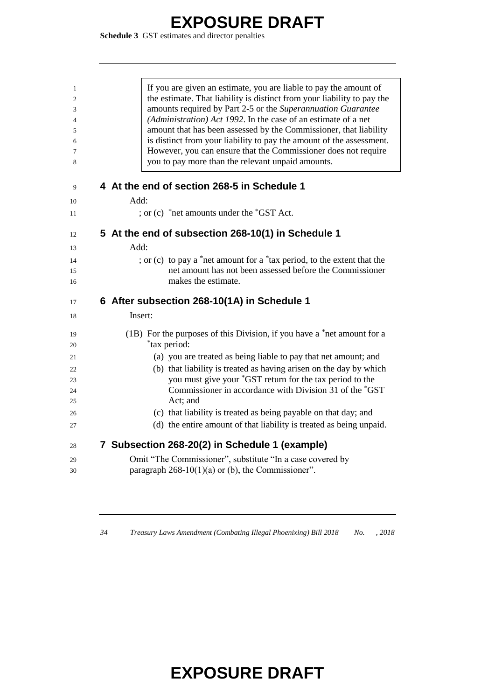**Schedule 3** GST estimates and director penalties

| $\mathbf{1}$   | If you are given an estimate, you are liable to pay the amount of                                                   |
|----------------|---------------------------------------------------------------------------------------------------------------------|
| $\overline{c}$ | the estimate. That liability is distinct from your liability to pay the                                             |
| 3              | amounts required by Part 2-5 or the Superannuation Guarantee                                                        |
| $\overline{4}$ | (Administration) Act 1992. In the case of an estimate of a net                                                      |
| 5              | amount that has been assessed by the Commissioner, that liability                                                   |
| 6              | is distinct from your liability to pay the amount of the assessment.                                                |
| 7              | However, you can ensure that the Commissioner does not require                                                      |
| 8              | you to pay more than the relevant unpaid amounts.                                                                   |
| 9              | 4 At the end of section 268-5 in Schedule 1                                                                         |
| 10             | Add:                                                                                                                |
| 11             | ; or (c) $*$ net amounts under the $*$ GST Act.                                                                     |
| 12             | 5 At the end of subsection 268-10(1) in Schedule 1                                                                  |
| 13             | Add <sup>1</sup>                                                                                                    |
| 14             | ; or (c) to pay a *net amount for a *tax period, to the extent that the                                             |
| 15             | net amount has not been assessed before the Commissioner                                                            |
| 16             | makes the estimate.                                                                                                 |
| 17             | 6 After subsection 268-10(1A) in Schedule 1                                                                         |
| 18             | Insert:                                                                                                             |
| 19             | (1B) For the purposes of this Division, if you have a *net amount for a                                             |
| 20             | <i>*tax period:</i>                                                                                                 |
| 21             | (a) you are treated as being liable to pay that net amount; and                                                     |
| 22             | (b) that liability is treated as having arisen on the day by which                                                  |
| 23             | you must give your *GST return for the tax period to the<br>Commissioner in accordance with Division 31 of the *GST |
| 24<br>25       | Act; and                                                                                                            |
|                |                                                                                                                     |
| 26             | (c) that liability is treated as being payable on that day; and                                                     |
| 27             | (d) the entire amount of that liability is treated as being unpaid.                                                 |
| 28             | 7 Subsection 268-20(2) in Schedule 1 (example)                                                                      |
| 29             | Omit "The Commissioner", substitute "In a case covered by                                                           |
| 30             | paragraph $268-10(1)(a)$ or (b), the Commissioner".                                                                 |
|                |                                                                                                                     |

*Treasury Laws Amendment (Combating Illegal Phoenixing) Bill 2018 No. , 2018*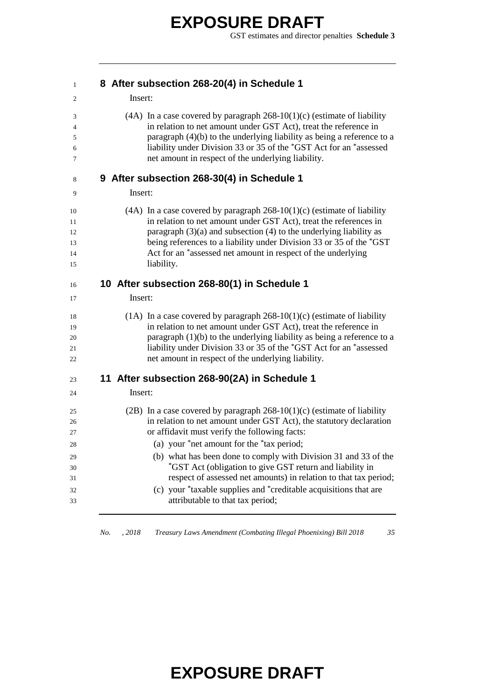GST estimates and director penalties **Schedule 3**

| $\mathbf{1}$                                 |         | 8 After subsection 268-20(4) in Schedule 1                                                                                                                                                                                                                                                                                                                                                                                                                                                                                                                |
|----------------------------------------------|---------|-----------------------------------------------------------------------------------------------------------------------------------------------------------------------------------------------------------------------------------------------------------------------------------------------------------------------------------------------------------------------------------------------------------------------------------------------------------------------------------------------------------------------------------------------------------|
| 2                                            | Insert: |                                                                                                                                                                                                                                                                                                                                                                                                                                                                                                                                                           |
| 3<br>4<br>5<br>6<br>7                        |         | $(4A)$ In a case covered by paragraph 268-10(1)(c) (estimate of liability<br>in relation to net amount under GST Act), treat the reference in<br>paragraph $(4)(b)$ to the underlying liability as being a reference to a<br>liability under Division 33 or 35 of the *GST Act for an *assessed<br>net amount in respect of the underlying liability.                                                                                                                                                                                                     |
| 8                                            |         | 9 After subsection 268-30(4) in Schedule 1                                                                                                                                                                                                                                                                                                                                                                                                                                                                                                                |
| 9                                            | Insert: |                                                                                                                                                                                                                                                                                                                                                                                                                                                                                                                                                           |
| 10<br>11<br>12<br>13<br>14<br>15             |         | (4A) In a case covered by paragraph $268-10(1)(c)$ (estimate of liability<br>in relation to net amount under GST Act), treat the references in<br>paragraph $(3)(a)$ and subsection $(4)$ to the underlying liability as<br>being references to a liability under Division 33 or 35 of the *GST<br>Act for an *assessed net amount in respect of the underlying<br>liability.                                                                                                                                                                             |
| 16                                           |         | 10 After subsection 268-80(1) in Schedule 1                                                                                                                                                                                                                                                                                                                                                                                                                                                                                                               |
| 17                                           | Insert: |                                                                                                                                                                                                                                                                                                                                                                                                                                                                                                                                                           |
| 18<br>19<br>20<br>21<br>22                   |         | $(1A)$ In a case covered by paragraph 268-10(1)(c) (estimate of liability<br>in relation to net amount under GST Act), treat the reference in<br>paragraph $(1)(b)$ to the underlying liability as being a reference to a<br>liability under Division 33 or 35 of the *GST Act for an *assessed<br>net amount in respect of the underlying liability.                                                                                                                                                                                                     |
| 23                                           |         | 11 After subsection 268-90(2A) in Schedule 1                                                                                                                                                                                                                                                                                                                                                                                                                                                                                                              |
| 24                                           | Insert: |                                                                                                                                                                                                                                                                                                                                                                                                                                                                                                                                                           |
| 25<br>26<br>27<br>28<br>29<br>30<br>31<br>32 |         | (2B) In a case covered by paragraph $268-10(1)(c)$ (estimate of liability<br>in relation to net amount under GST Act), the statutory declaration<br>or affidavit must verify the following facts:<br>(a) your *net amount for the *tax period;<br>(b) what has been done to comply with Division 31 and 33 of the<br>*GST Act (obligation to give GST return and liability in<br>respect of assessed net amounts) in relation to that tax period;<br>(c) your *taxable supplies and *creditable acquisitions that are<br>attributable to that tax period; |
| 33                                           |         |                                                                                                                                                                                                                                                                                                                                                                                                                                                                                                                                                           |

*No. , 2018 Treasury Laws Amendment (Combating Illegal Phoenixing) Bill 2018 35*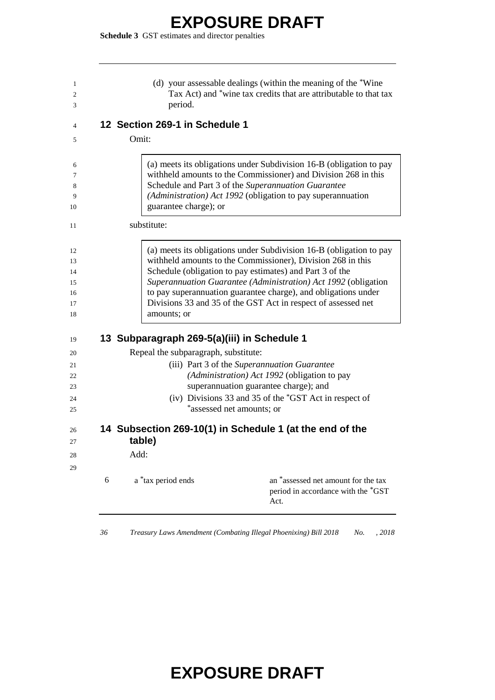**Schedule 3** GST estimates and director penalties

|   | period.                                     | (d) your assessable dealings (within the meaning of the *Wine<br>Tax Act) and *wine tax credits that are attributable to that tax                                                                                                                                                                                                                                                                   |
|---|---------------------------------------------|-----------------------------------------------------------------------------------------------------------------------------------------------------------------------------------------------------------------------------------------------------------------------------------------------------------------------------------------------------------------------------------------------------|
|   | 12 Section 269-1 in Schedule 1              |                                                                                                                                                                                                                                                                                                                                                                                                     |
|   | Omit:                                       |                                                                                                                                                                                                                                                                                                                                                                                                     |
|   | guarantee charge); or                       | (a) meets its obligations under Subdivision 16-B (obligation to pay<br>withheld amounts to the Commissioner) and Division 268 in this<br>Schedule and Part 3 of the Superannuation Guarantee<br>(Administration) Act 1992 (obligation to pay superannuation                                                                                                                                         |
|   | substitute:                                 |                                                                                                                                                                                                                                                                                                                                                                                                     |
|   | amounts; or                                 | (a) meets its obligations under Subdivision 16-B (obligation to pay<br>withheld amounts to the Commissioner), Division 268 in this<br>Schedule (obligation to pay estimates) and Part 3 of the<br>Superannuation Guarantee (Administration) Act 1992 (obligation<br>to pay superannuation guarantee charge), and obligations under<br>Divisions 33 and 35 of the GST Act in respect of assessed net |
|   | 13 Subparagraph 269-5(a)(iii) in Schedule 1 |                                                                                                                                                                                                                                                                                                                                                                                                     |
|   | Repeal the subparagraph, substitute:        |                                                                                                                                                                                                                                                                                                                                                                                                     |
|   |                                             | (iii) Part 3 of the Superannuation Guarantee<br>(Administration) Act 1992 (obligation to pay<br>superannuation guarantee charge); and<br>(iv) Divisions 33 and 35 of the *GST Act in respect of<br>*assessed net amounts; or                                                                                                                                                                        |
|   | table)                                      | 14 Subsection 269-10(1) in Schedule 1 (at the end of the                                                                                                                                                                                                                                                                                                                                            |
|   | Add:                                        |                                                                                                                                                                                                                                                                                                                                                                                                     |
| 6 | a *tax period ends                          | an *assessed net amount for the tax<br>period in accordance with the *GST<br>Act.                                                                                                                                                                                                                                                                                                                   |

*Treasury Laws Amendment (Combating Illegal Phoenixing) Bill 2018 No. , 2018*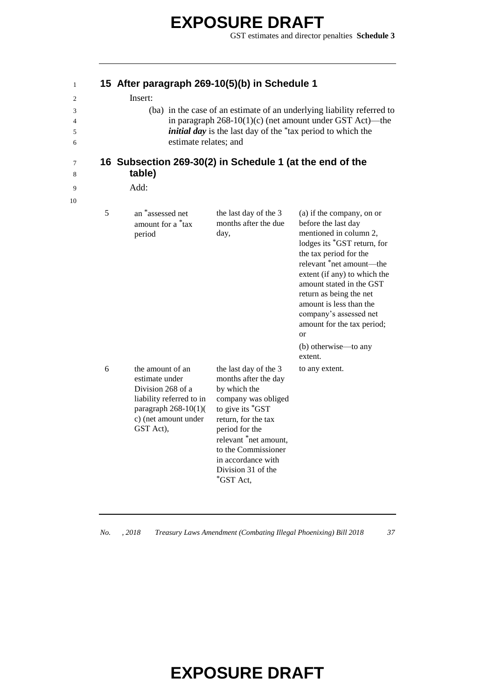GST estimates and director penalties **Schedule 3**

| 1                     | 15 After paragraph 269-10(5)(b) in Schedule 1                                                                                                     |                                                                                                                                                                                                                                                            |                                                                                                                                                                                                                                                                                                                                                                                                  |
|-----------------------|---------------------------------------------------------------------------------------------------------------------------------------------------|------------------------------------------------------------------------------------------------------------------------------------------------------------------------------------------------------------------------------------------------------------|--------------------------------------------------------------------------------------------------------------------------------------------------------------------------------------------------------------------------------------------------------------------------------------------------------------------------------------------------------------------------------------------------|
| 2<br>3<br>4<br>5<br>6 | Insert:<br>estimate relates; and                                                                                                                  | <i>initial day</i> is the last day of the <sup>*</sup> tax period to which the                                                                                                                                                                             | (ba) in the case of an estimate of an underlying liability referred to<br>in paragraph $268-10(1)(c)$ (net amount under GST Act)—the                                                                                                                                                                                                                                                             |
| 7<br>8                | 16 Subsection 269-30(2) in Schedule 1 (at the end of the<br>table)                                                                                |                                                                                                                                                                                                                                                            |                                                                                                                                                                                                                                                                                                                                                                                                  |
| 9                     | Add:                                                                                                                                              |                                                                                                                                                                                                                                                            |                                                                                                                                                                                                                                                                                                                                                                                                  |
| 10<br>5               | an *assessed net<br>amount for a <sup>*</sup> tax<br>period                                                                                       | the last day of the 3<br>months after the due<br>day,                                                                                                                                                                                                      | (a) if the company, on or<br>before the last day<br>mentioned in column 2,<br>lodges its *GST return, for<br>the tax period for the<br>relevant *net amount--- the<br>extent (if any) to which the<br>amount stated in the GST<br>return as being the net<br>amount is less than the<br>company's assessed net<br>amount for the tax period;<br><sub>or</sub><br>(b) otherwise—to any<br>extent. |
| 6                     | the amount of an<br>estimate under<br>Division 268 of a<br>liability referred to in<br>paragraph $268-10(1)$<br>c) (net amount under<br>GST Act), | the last day of the 3<br>months after the day<br>by which the<br>company was obliged<br>to give its *GST<br>return, for the tax<br>period for the<br>relevant *net amount,<br>to the Commissioner<br>in accordance with<br>Division 31 of the<br>*GST Act, | to any extent.                                                                                                                                                                                                                                                                                                                                                                                   |

*No. , 2018 Treasury Laws Amendment (Combating Illegal Phoenixing) Bill 2018 37*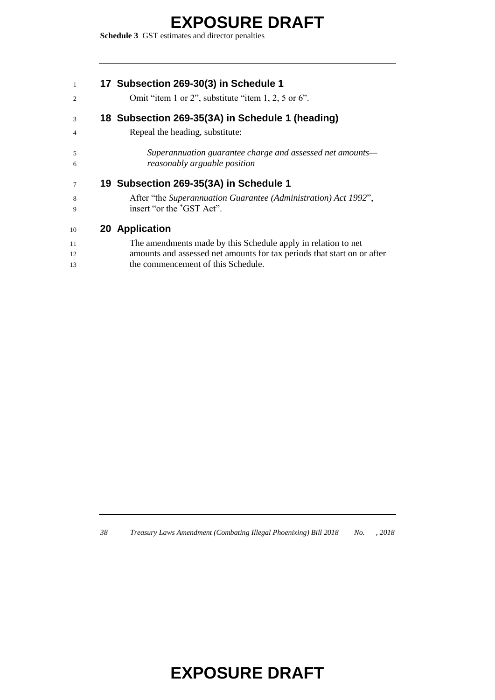**Schedule 3** GST estimates and director penalties

|  | 17 Subsection 269-30(3) in Schedule 1 |  |  |
|--|---------------------------------------|--|--|
|--|---------------------------------------|--|--|

2 Omit "item 1 or 2", substitute "item 1, 2, 5 or 6".

#### **18 Subsection 269-35(3A) in Schedule 1 (heading)**

Repeal the heading, substitute:

 *Superannuation guarantee charge and assessed net amounts— reasonably arguable position*

#### **19 Subsection 269-35(3A) in Schedule 1**

 After "the *Superannuation Guarantee (Administration) Act 1992*", 9 insert "or the "GST Act".

#### **20 Application**

| 11 | The amendments made by this Schedule apply in relation to net           |
|----|-------------------------------------------------------------------------|
| 12 | amounts and assessed net amounts for tax periods that start on or after |
| 13 | the commencement of this Schedule.                                      |

*Treasury Laws Amendment (Combating Illegal Phoenixing) Bill 2018 No. , 2018*